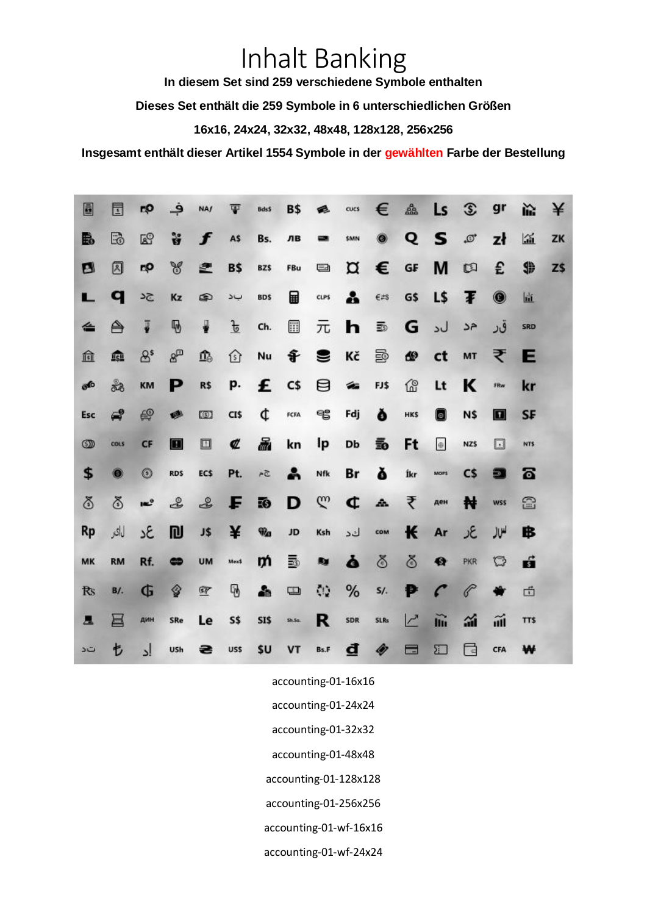## Inhalt Banking

**In diesem Set sind 259 verschiedene Symbole enthalten**

**Dieses Set enthält die 259 Symbole in 6 unterschiedlichen Größen**

**16x16, 24x24, 32x32, 48x48, 128x128, 256x256**

**Insgesamt enthält dieser Artikel 1554 Symbole in der gewählten Farbe der Bestellung**

| Ē              | 団          | rρ              | ڢ              | <b>NA/</b> | Ŧ             | Bds\$                      | <b>B\$</b> | e              | cucs | €                  | 矗                      | Ls                       | $\mathfrak{D}$ | gr             | ř.   | ¥   |
|----------------|------------|-----------------|----------------|------------|---------------|----------------------------|------------|----------------|------|--------------------|------------------------|--------------------------|----------------|----------------|------|-----|
| B              | ß          | ලි              | ទី             | f          | A\$           | Bs.                        | ЛВ         | ▄              | \$MN | ۰                  | Q                      | s.                       | $\varpi$       | zł             | 區    | ZK  |
| 四              | Ø          | rρ              | Y              | 卑          | <b>B\$</b>    | BZ\$                       | <b>FBu</b> | ⊟              | ¤    | €                  | $\mathsf{G}\mathsf{F}$ | M                        | 回              | £              | \$   | Z\$ |
| L              | q          | 54              | Kz             | ⊕          | بد            | <b>BDS</b>                 | 圇          | CLPS           | å    | $\varepsilon$ #s   | G\$                    | L\$                      | Ŧ              | $\circledcirc$ | 置    |     |
| ⇚              | A          | ₮               | ₩              | ₩          | $\frac{1}{2}$ | Ch.                        | 區          | 元              | h    | $\overline{\Xi}{}$ | G                      | ل د                      | جر             | قر             | SRD  |     |
| 血              | 愈          | $\mathcal{B}^s$ | $8^{\circ}$    | 亟          | ⇧             | Nu                         |            | <b>of ⊜</b> Kč |      | Ð                  | ₾                      | ct                       | MT             | ₹              | E    |     |
| கூ             | ಹಿ         | <b>KM</b>       | Р              | R\$        | p.            |                            | $E$ $cs$   |                | 日名   | FJ\$               | 俭                      | Lt                       | K              | FRw            | kr   |     |
| Esc            | $\epsilon$ | €               | ∙              | O)         | CI\$          | ¢                          | FCFA       | ซ              | Fdj  | Ŏ                  | HKS                    | 0                        | N\$            | $\blacksquare$ | SF   |     |
|                |            |                 |                |            |               |                            |            |                |      |                    |                        |                          |                |                |      |     |
| $\circledcirc$ | cous       | CF              | $\blacksquare$ | ◫          | ¢             | 晶                          | kn         | Ιp             | Db   | 5                  | Ft                     | $\oplus$                 | <b>NZS</b>     | 回              | NT\$ |     |
| \$             | 0          | $^{\circ}$      | <b>RDS</b>     | EC\$       | Pt.           | $54\,$                     | ÷          | Nfk            | Br   | ă                  | Íkr                    | MOP\$                    | C\$            | Ð              | ត    |     |
| ఠ              | ఠ          | $\mathbf{m}^0$  | L              | ≗          | F             | IO.                        | D          | $\mathbb{C}^n$ | ¢    | $\Delta$           | ₹                      | ден                      | ₦              | <b>WSS</b>     | B    |     |
| Rp             | لماكر      | ٤٤              | <b>DJ</b>      | J\$        | ¥             | $\widehat{\mathbf{w}}_{a}$ | <b>JD</b>  | Ksh            | كد   | COM                | К                      | Ar                       | عر             | لملا           | ₿    |     |
| MK             | <b>RM</b>  | Rf.             | ⇔              | UM         | Mex\$         | m                          | 國          | <b>Ry</b>      | ò    | ఠ                  | ఠ                      | €                        | PKR            | $\mathbb{C}$   | ń    |     |
| <b>Rs</b>      | B/I.       | G               | ♦              | 匣          | 7             | 소                          | O          | $\mathcal{N}$  | %    | $S/$ .             | P                      | $\mathcal{C}$            | P              | ₩              | 卣    |     |
| 昷              | ㅂ          | дин             | SRe            | Le         | <b>S\$</b>    | SI\$                       | Sh.5a      | R              | SDR  | <b>SLRs</b>        | $\overline{C}$         | $\widetilde{\mathbf{m}}$ | 論              | m              | TT\$ |     |

accounting-01-16x16

- accounting-01-24x24
- accounting-01-32x32
- accounting-01-48x48
- accounting-01-128x128
- accounting-01-256x256
- accounting-01-wf-16x16
- accounting-01-wf-24x24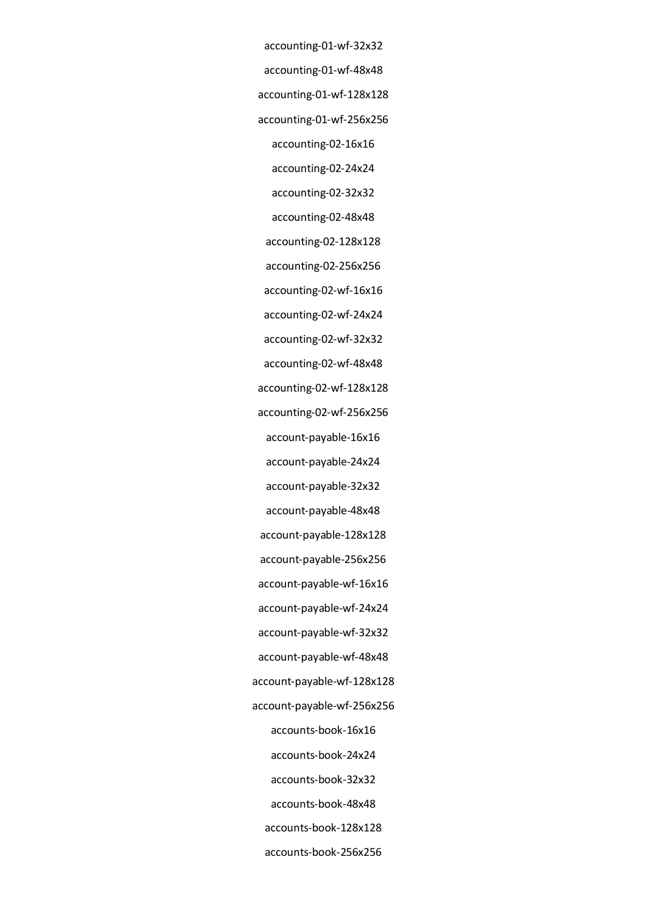accounting-01-wf-32x32 accounting-01-wf-48x48 accounting-01-wf-128x128 accounting-01-wf-256x256 accounting-02-16x16 accounting-02-24x24 accounting-02-32x32 accounting-02-48x48 accounting-02-128x128 accounting-02-256x256 accounting-02-wf-16x16 accounting-02-wf-24x24 accounting-02-wf-32x32 accounting-02-wf-48x48 accounting-02-wf-128x128 accounting-02-wf-256x256 account-payable-16x16 account-payable-24x24 account-payable-32x32 account-payable-48x48 account-payable-128x128 account-payable-256x256 account-payable-wf-16x16 account-payable-wf-24x24 account-payable-wf-32x32 account-payable-wf-48x48 account-payable-wf-128x128 account-payable-wf-256x256 accounts-book-16x16 accounts-book-24x24 accounts-book-32x32 accounts-book-48x48 accounts-book-128x128 accounts-book-256x256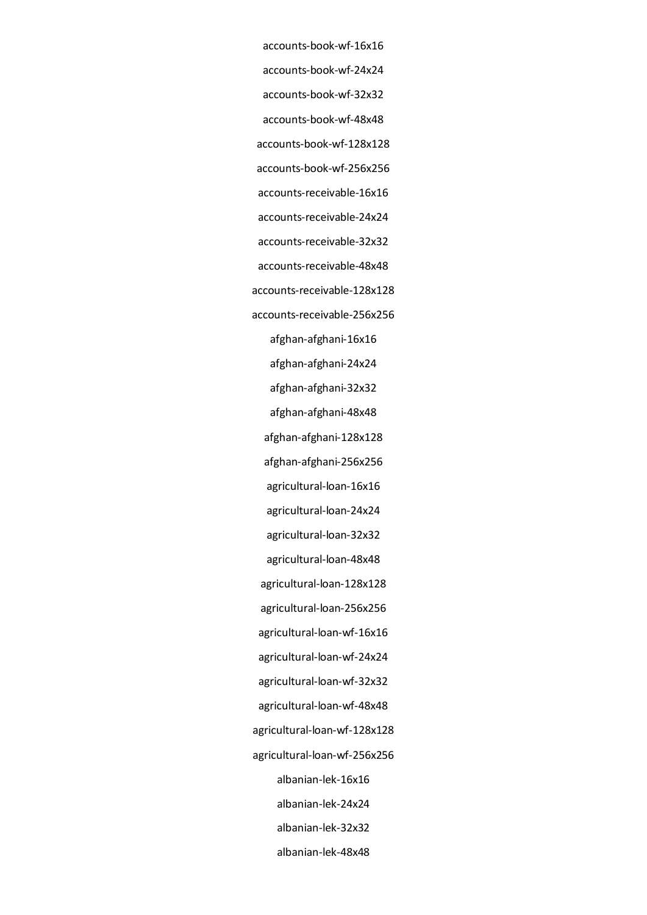- accounts-book-wf-16x16 accounts-book-wf-24x24 accounts-book-wf-32x32 accounts-book-wf-48x48 accounts-book-wf-128x128 accounts-book-wf-256x256 accounts-receivable-16x16 accounts-receivable-24x24 accounts-receivable-32x32 accounts-receivable-48x48 accounts-receivable-128x128 accounts-receivable-256x256 afghan-afghani-16x16 afghan-afghani-24x24 afghan-afghani-32x32 afghan-afghani-48x48 afghan-afghani-128x128 afghan-afghani-256x256 agricultural-loan-16x16 agricultural-loan-24x24 agricultural-loan-32x32 agricultural-loan-48x48 agricultural-loan-128x128 agricultural-loan-256x256 agricultural-loan-wf-16x16 agricultural-loan-wf-24x24 agricultural-loan-wf-32x32 agricultural-loan-wf-48x48 agricultural-loan-wf-128x128 agricultural-loan-wf-256x256 albanian-lek-16x16 albanian-lek-24x24 albanian-lek-32x32
	- albanian-lek-48x48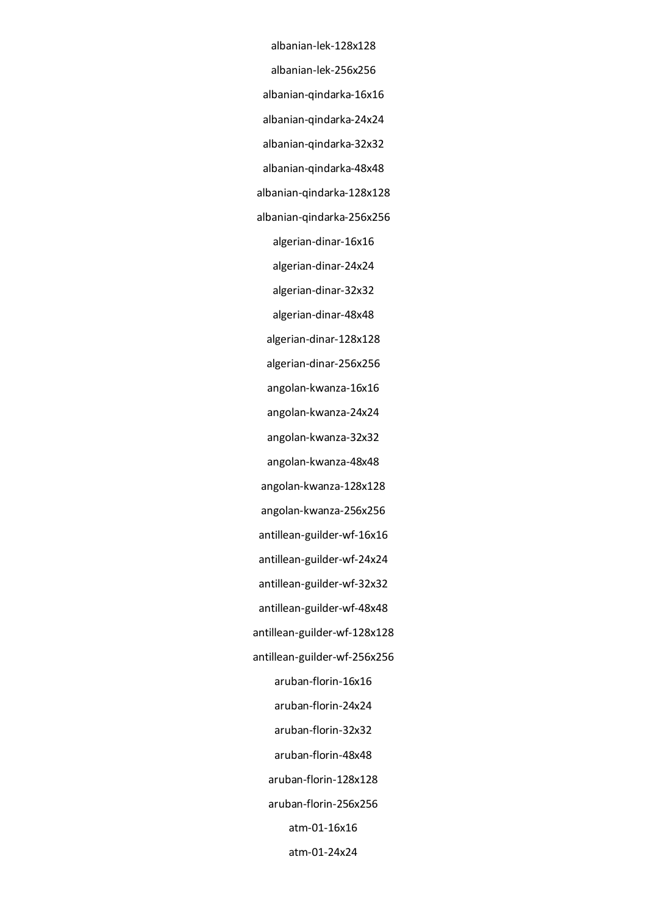albanian-lek-128x128 albanian-lek-256x256 albanian-qindarka-16x16 albanian-qindarka-24x24 albanian-qindarka-32x32 albanian-qindarka-48x48 albanian-qindarka-128x128 albanian-qindarka-256x256 algerian-dinar-16x16 algerian-dinar-24x24 algerian-dinar-32x32 algerian-dinar-48x48 algerian-dinar-128x128 algerian-dinar-256x256 angolan-kwanza-16x16 angolan-kwanza-24x24 angolan-kwanza-32x32 angolan-kwanza-48x48 angolan-kwanza-128x128 angolan-kwanza-256x256 antillean-guilder-wf-16x16 antillean-guilder-wf-24x24 antillean-guilder-wf-32x32 antillean-guilder-wf-48x48 antillean-guilder-wf-128x128 antillean-guilder-wf-256x256 aruban-florin-16x16 aruban-florin-24x24 aruban-florin-32x32 aruban-florin-48x48 aruban-florin-128x128 aruban-florin-256x256 atm-01-16x16 atm-01-24x24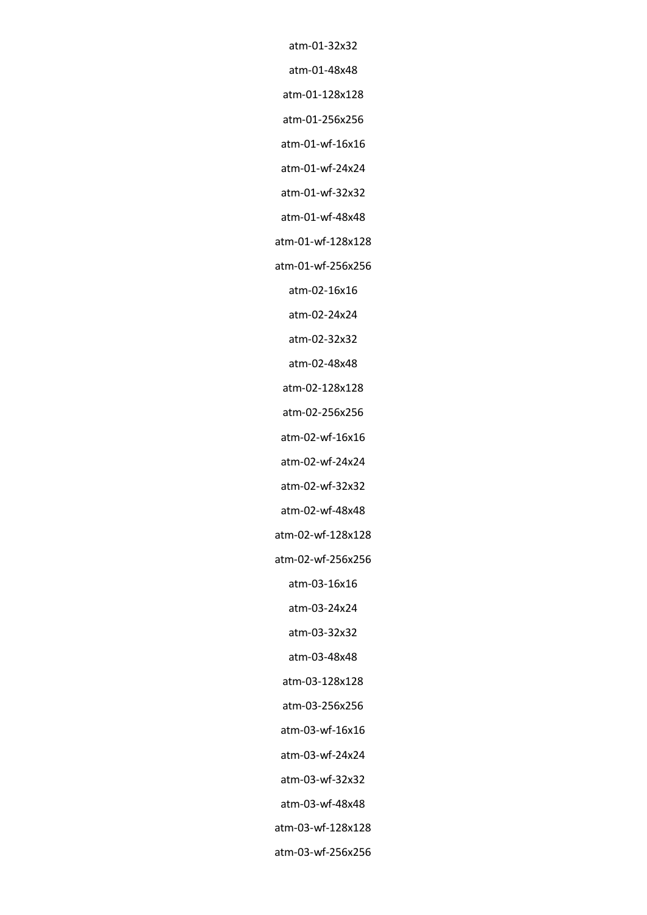atm-01-32x32 atm-01-48x48 atm-01-128x128 atm-01-256x256 atm-01-wf-16x16 atm-01-wf-24x24 atm-01-wf-32x32 atm-01-wf-48x48 atm-01-wf-128x128 atm-01-wf-256x256 atm-02-16x16 atm-02-24x24 atm-02-32x32 atm-02-48x48 atm-02-128x128 atm-02-256x256 atm-02-wf-16x16 atm-02-wf-24x24 atm-02-wf-32x32 atm-02-wf-48x48 atm-02-wf-128x128 atm-02-wf-256x256 atm-03-16x16 atm-03-24x24 atm-03-32x32 atm-03-48x48 atm-03-128x128 atm-03-256x256 atm-03-wf-16x16 atm-03-wf-24x24 atm-03-wf-32x32

atm-03-wf-48x48 atm-03-wf-128x128 atm-03-wf-256x256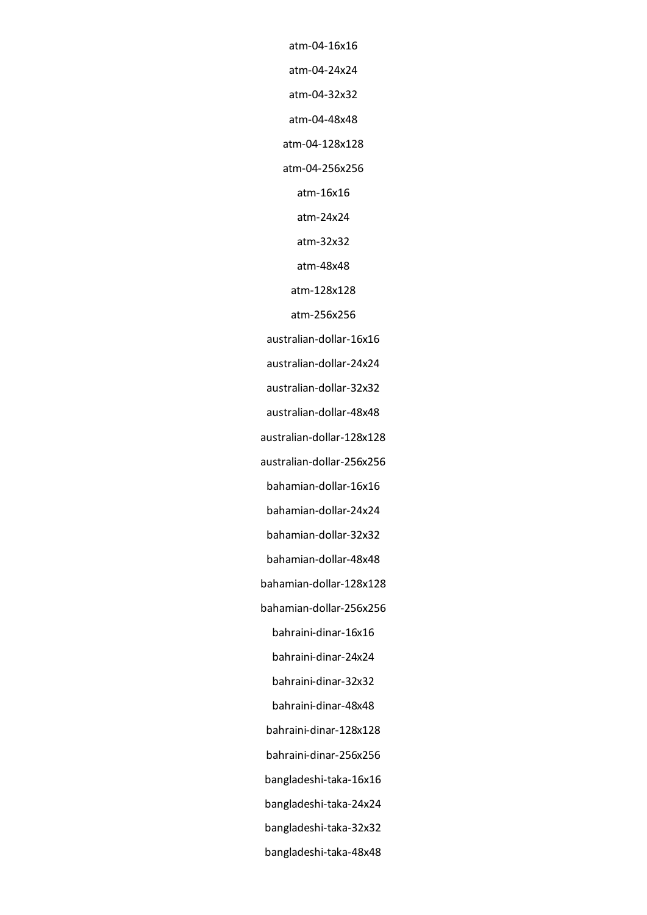atm-04-16x16

atm-04-24x24

atm-04-32x32

atm-04-48x48

atm-04-128x128

atm-04-256x256

atm-16x16

atm-24x24

atm-32x32

atm-48x48

atm-128x128

atm-256x256

australian-dollar-16x16

australian-dollar-24x24

australian-dollar-32x32

australian-dollar-48x48

australian-dollar-128x128

australian-dollar-256x256

bahamian-dollar-16x16

bahamian-dollar-24x24

bahamian-dollar-32x32

bahamian-dollar-48x48

bahamian-dollar-128x128

bahamian-dollar-256x256

bahraini-dinar-16x16

bahraini-dinar-24x24

bahraini-dinar-32x32

bahraini-dinar-48x48

bahraini-dinar-128x128

bahraini-dinar-256x256

bangladeshi-taka-16x16

bangladeshi-taka-24x24

bangladeshi-taka-32x32

bangladeshi-taka-48x48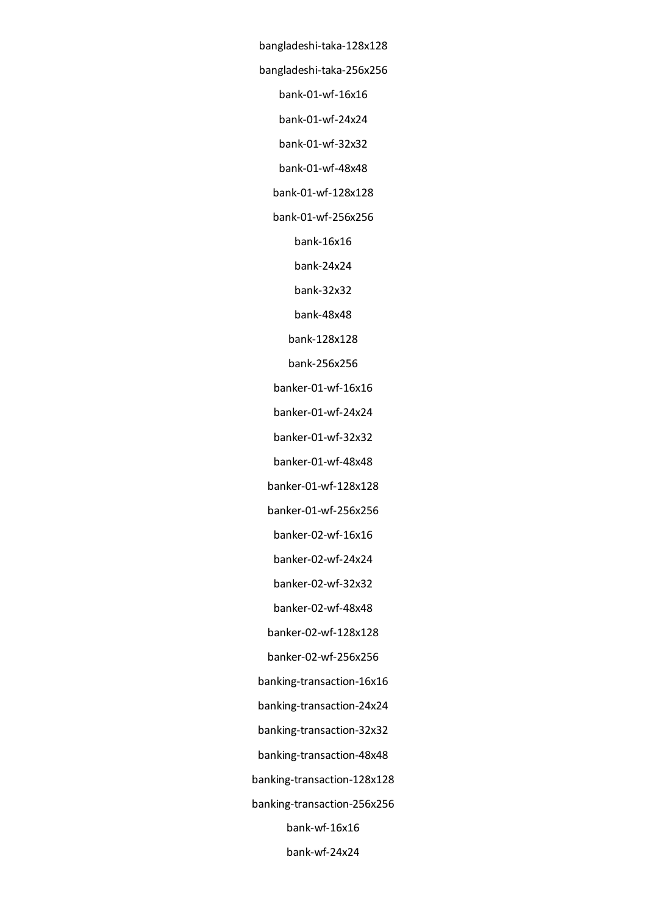bangladeshi-taka-128x128 bangladeshi-taka-256x256 bank-01-wf-16x16 bank-01-wf-24x24 bank-01-wf-32x32 bank-01-wf-48x48 bank-01-wf-128x128 bank-01-wf-256x256 bank-16x16 bank-24x24 bank-32x32 bank-48x48 bank-128x128 bank-256x256 banker-01-wf-16x16 banker-01-wf-24x24 banker-01-wf-32x32 banker-01-wf-48x48 banker-01-wf-128x128 banker-01-wf-256x256 banker-02-wf-16x16 banker-02-wf-24x24 banker-02-wf-32x32 banker-02-wf-48x48 banker-02-wf-128x128 banker-02-wf-256x256 banking-transaction-16x16 banking-transaction-24x24 banking-transaction-32x32 banking-transaction-48x48 banking-transaction-128x128 banking-transaction-256x256 bank-wf-16x16 bank-wf-24x24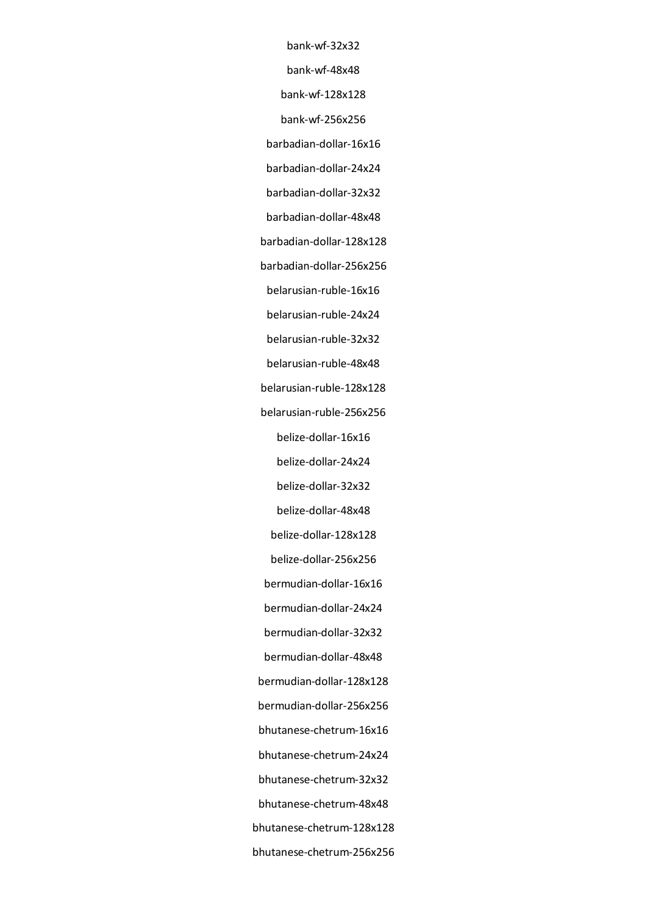bank-wf-32x32 bank-wf-48x48 bank-wf-128x128

bank-wf-256x256

barbadian-dollar-16x16

barbadian-dollar-24x24

barbadian-dollar-32x32

barbadian-dollar-48x48

barbadian-dollar-128x128

barbadian-dollar-256x256

belarusian-ruble-16x16

belarusian-ruble-24x24

belarusian-ruble-32x32

belarusian-ruble-48x48

belarusian-ruble-128x128

belarusian-ruble-256x256

belize-dollar-16x16

belize-dollar-24x24

belize-dollar-32x32

belize-dollar-48x48

belize-dollar-128x128

belize-dollar-256x256

bermudian-dollar-16x16

bermudian-dollar-24x24

bermudian-dollar-32x32

bermudian-dollar-48x48

bermudian-dollar-128x128

bermudian-dollar-256x256

bhutanese-chetrum-16x16

bhutanese-chetrum-24x24

bhutanese-chetrum-32x32

bhutanese-chetrum-48x48

bhutanese-chetrum-128x128

bhutanese-chetrum-256x256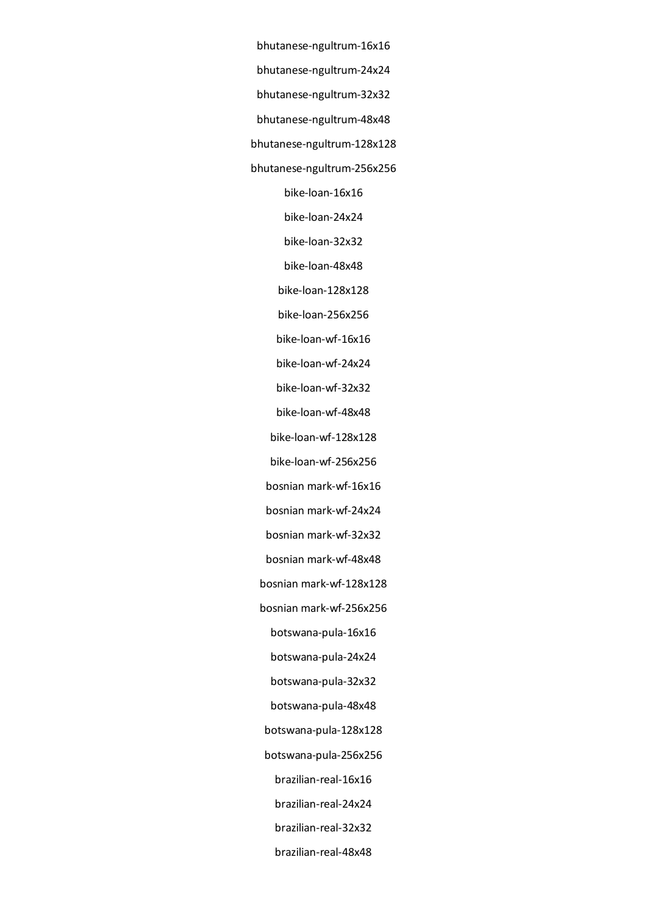bhutanese-ngultrum-16x16 bhutanese-ngultrum-24x24 bhutanese-ngultrum-32x32 bhutanese-ngultrum-48x48 bhutanese-ngultrum-128x128 bhutanese-ngultrum-256x256 bike-loan-16x16 bike-loan-24x24 bike-loan-32x32 bike-loan-48x48 bike-loan-128x128 bike-loan-256x256 bike-loan-wf-16x16 bike-loan-wf-24x24 bike-loan-wf-32x32 bike-loan-wf-48x48 bike-loan-wf-128x128 bike-loan-wf-256x256 bosnian mark-wf-16x16 bosnian mark-wf-24x24 bosnian mark-wf-32x32 bosnian mark-wf-48x48 bosnian mark-wf-128x128 bosnian mark-wf-256x256 botswana-pula-16x16 botswana-pula-24x24 botswana-pula-32x32 botswana-pula-48x48 botswana-pula-128x128 botswana-pula-256x256 brazilian-real-16x16 brazilian-real-24x24 brazilian-real-32x32 brazilian-real-48x48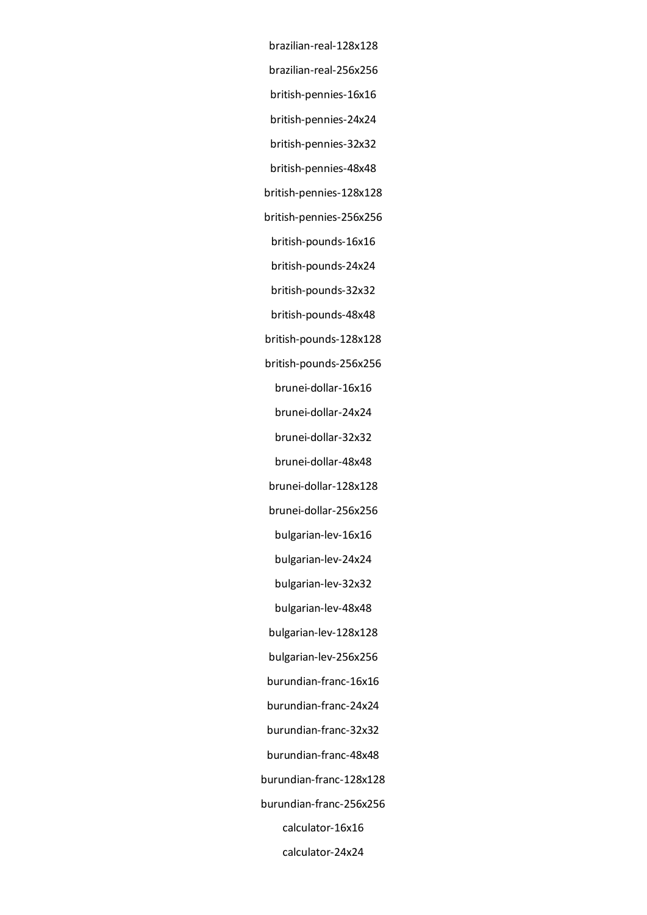brazilian-real-128x128 brazilian-real-256x256 british-pennies-16x16 british-pennies-24x24 british-pennies-32x32 british-pennies-48x48 british-pennies-128x128 british-pennies-256x256 british-pounds-16x16 british-pounds-24x24 british-pounds-32x32 british-pounds-48x48 british-pounds-128x128 british-pounds-256x256 brunei-dollar-16x16 brunei-dollar-24x24 brunei-dollar-32x32 brunei-dollar-48x48 brunei-dollar-128x128 brunei-dollar-256x256 bulgarian-lev-16x16 bulgarian-lev-24x24 bulgarian-lev-32x32 bulgarian-lev-48x48 bulgarian-lev-128x128 bulgarian-lev-256x256 burundian-franc-16x16 burundian-franc-24x24 burundian-franc-32x32 burundian-franc-48x48 burundian-franc-128x128 burundian-franc-256x256 calculator-16x16 calculator-24x24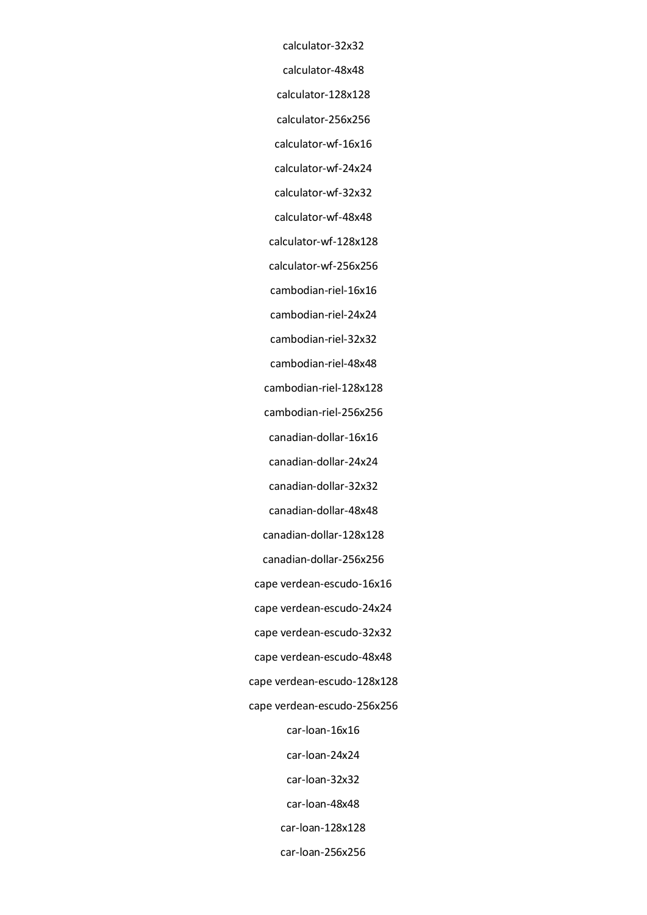calculator-32x32 calculator-48x48 calculator-128x128 calculator-256x256 calculator-wf-16x16 calculator-wf-24x24 calculator-wf-32x32 calculator-wf-48x48 calculator-wf-128x128 calculator-wf-256x256 cambodian-riel-16x16 cambodian-riel-24x24 cambodian-riel-32x32 cambodian-riel-48x48 cambodian-riel-128x128 cambodian-riel-256x256 canadian-dollar-16x16 canadian-dollar-24x24 canadian-dollar-32x32 canadian-dollar-48x48 canadian-dollar-128x128 canadian-dollar-256x256 cape verdean-escudo-16x16 cape verdean-escudo-24x24 cape verdean-escudo-32x32 cape verdean-escudo-48x48 cape verdean-escudo-128x128 cape verdean-escudo-256x256 car-loan-16x16 car-loan-24x24 car-loan-32x32 car-loan-48x48

car-loan-128x128

car-loan-256x256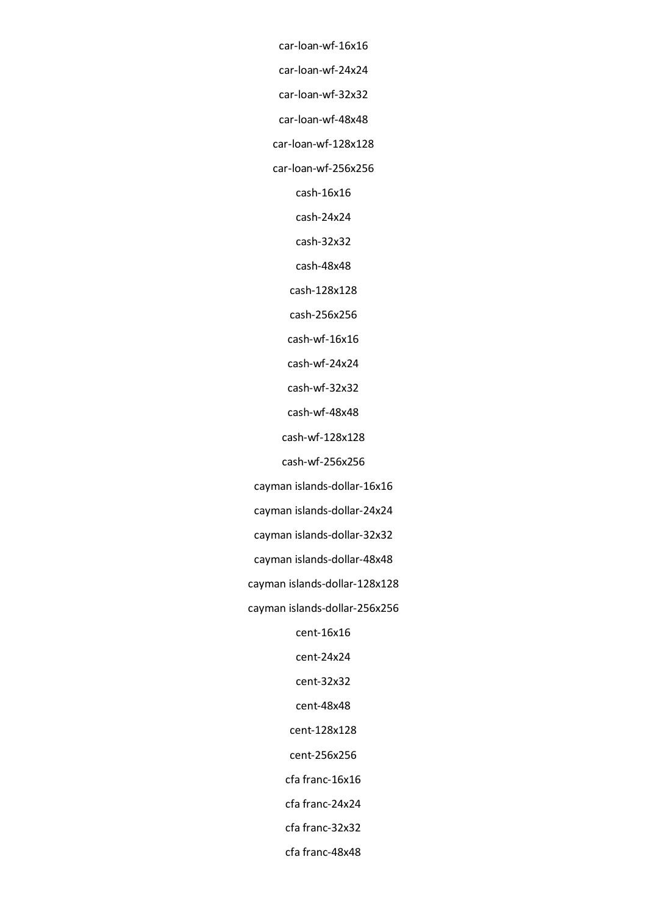car-loan-wf-16x16 car-loan-wf-24x24

car-loan-wf-32x32

car-loan-wf-48x48

car-loan-wf-128x128

car-loan-wf-256x256

cash-16x16

cash-24x24

cash-32x32

cash-48x48

cash-128x128

cash-256x256

cash-wf-16x16

cash-wf-24x24

cash-wf-32x32

cash-wf-48x48

cash-wf-128x128

cash-wf-256x256

cayman islands-dollar-16x16

cayman islands-dollar-24x24

cayman islands-dollar-32x32

cayman islands-dollar-48x48

cayman islands-dollar-128x128

cayman islands-dollar-256x256

cent-16x16

cent-24x24

cent-32x32

cent-48x48

cent-128x128

cent-256x256

cfa franc-16x16

cfa franc-24x24

cfa franc-32x32

cfa franc-48x48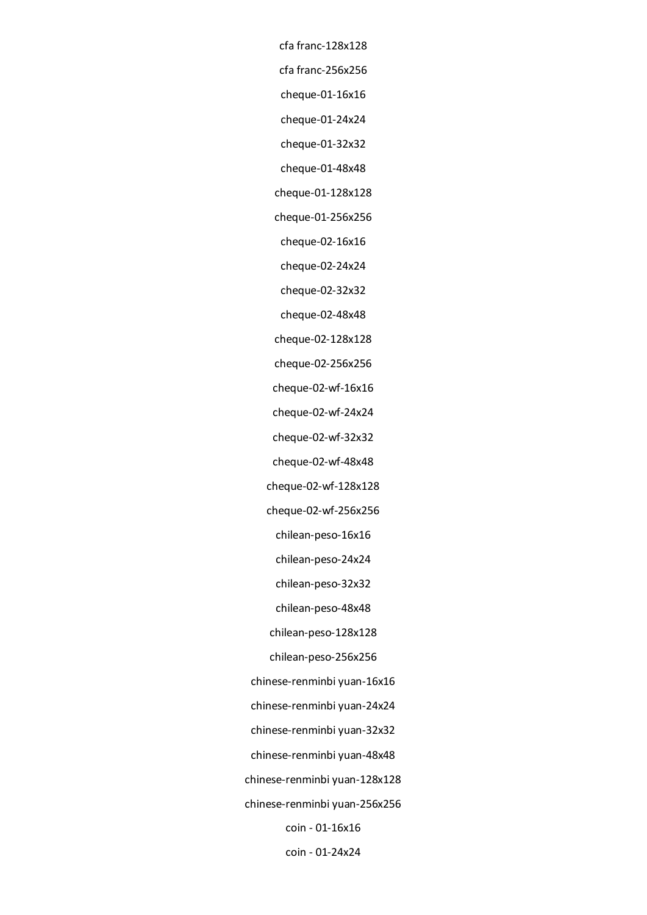cfa franc-128x128 cfa franc-256x256 cheque-01-16x16 cheque-01-24x24 cheque-01-32x32 cheque-01-48x48 cheque-01-128x128 cheque-01-256x256 cheque-02-16x16 cheque-02-24x24 cheque-02-32x32 cheque-02-48x48 cheque-02-128x128 cheque-02-256x256 cheque-02-wf-16x16 cheque-02-wf-24x24 cheque-02-wf-32x32 cheque-02-wf-48x48 cheque-02-wf-128x128 cheque-02-wf-256x256 chilean-peso-16x16 chilean-peso-24x24 chilean-peso-32x32 chilean-peso-48x48 chilean-peso-128x128 chilean-peso-256x256 chinese-renminbi yuan-16x16 chinese-renminbi yuan-24x24 chinese-renminbi yuan-32x32 chinese-renminbi yuan-48x48 chinese-renminbi yuan-128x128 chinese-renminbi yuan-256x256 coin - 01-16x16 coin - 01-24x24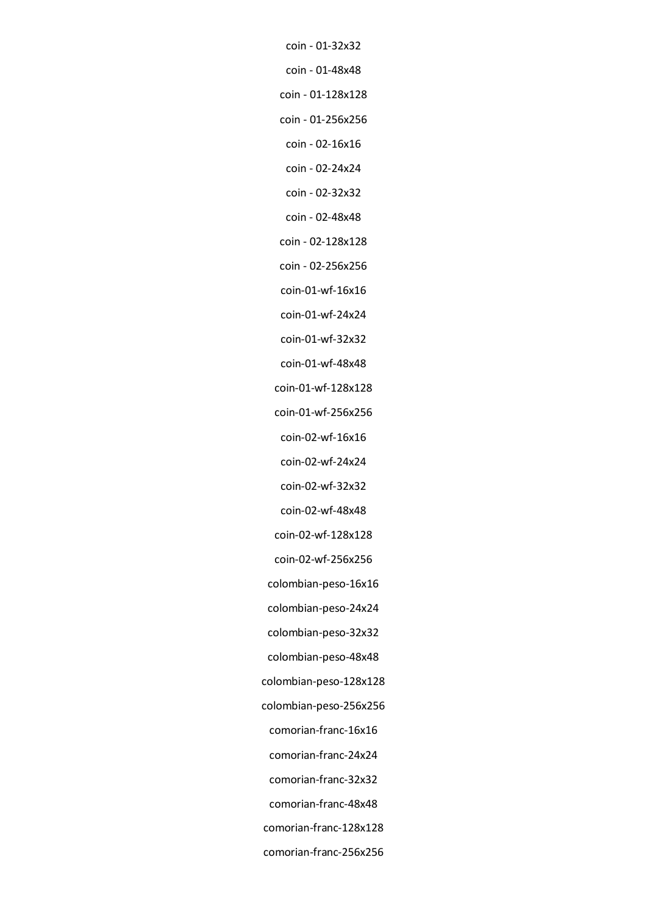coin - 01-32x32 coin - 01-48x48 coin - 01-128x128 coin - 01-256x256 coin - 02-16x16 coin - 02-24x24 coin - 02-32x32 coin - 02-48x48 coin - 02-128x128 coin - 02-256x256 coin-01-wf-16x16 coin-01-wf-24x24 coin-01-wf-32x32 coin-01-wf-48x48 coin-01-wf-128x128 coin-01-wf-256x256 coin-02-wf-16x16 coin-02-wf-24x24 coin-02-wf-32x32 coin-02-wf-48x48 coin-02-wf-128x128 coin-02-wf-256x256 colombian-peso-16x16 colombian-peso-24x24 colombian-peso-32x32 colombian-peso-128x128 colombian-peso-256x256 comorian-franc-16x16 comorian-franc-24x24 comorian-franc-32x32 comorian-franc-48x48 comorian-franc-128x128

colombian-peso-48x48

comorian-franc-256x256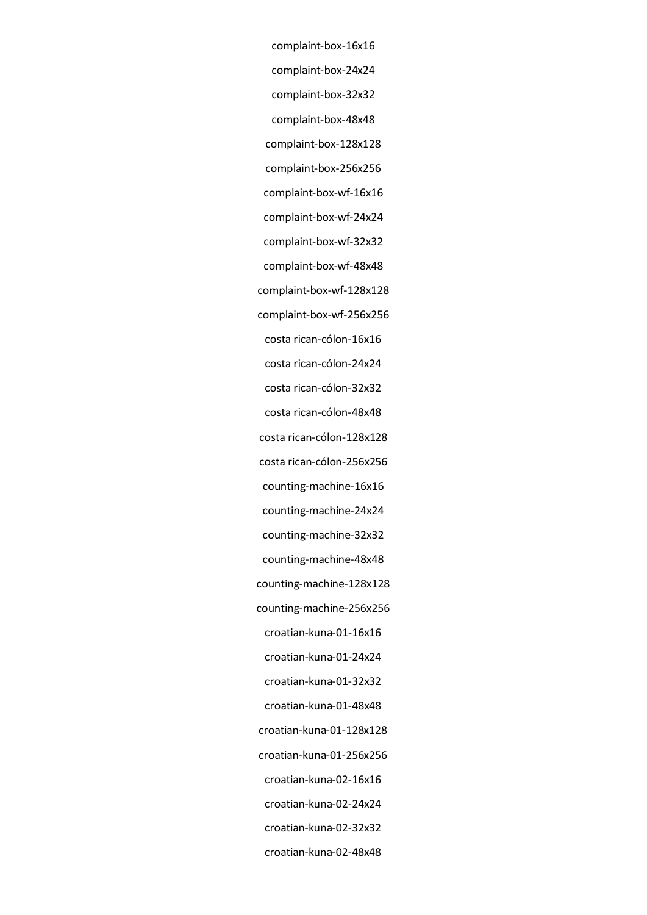complaint-box-16x16 complaint-box-24x24 complaint-box-32x32 complaint-box-48x48 complaint-box-128x128 complaint-box-256x256 complaint-box-wf-16x16 complaint-box-wf-24x24 complaint-box-wf-32x32 complaint-box-wf-48x48 complaint-box-wf-128x128 complaint-box-wf-256x256 costa rican-cólon-16x16 costa rican-cólon-24x24 costa rican-cólon-32x32 costa rican-cólon-48x48 costa rican-cólon-128x128 costa rican-cólon-256x256 counting-machine-16x16 counting-machine-24x24 counting-machine-32x32 counting-machine-48x48 counting-machine-128x128 counting-machine-256x256 croatian-kuna-01-16x16 croatian-kuna-01-24x24 croatian-kuna-01-32x32 croatian-kuna-01-48x48 croatian-kuna-01-128x128 croatian-kuna-01-256x256 croatian-kuna-02-16x16 croatian-kuna-02-24x24 croatian-kuna-02-32x32 croatian-kuna-02-48x48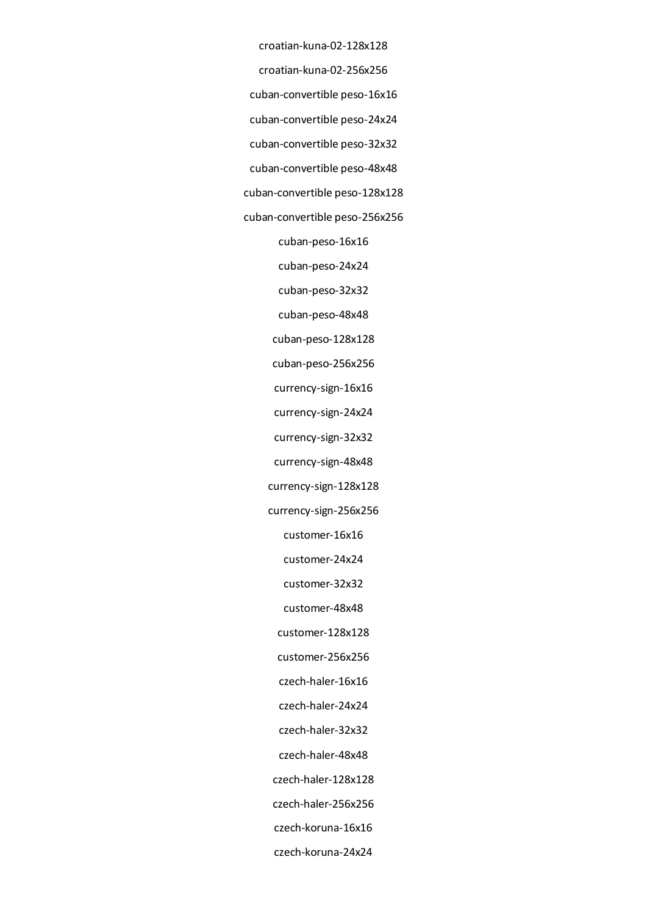croatian-kuna-02-128x128 croatian-kuna-02-256x256 cuban-convertible peso-16x16 cuban-convertible peso-24x24 cuban-convertible peso-32x32 cuban-convertible peso-48x48 cuban-convertible peso-128x128 cuban-convertible peso-256x256 cuban-peso-16x16 cuban-peso-24x24 cuban-peso-32x32 cuban-peso-48x48 cuban-peso-128x128 cuban-peso-256x256 currency-sign-16x16 currency-sign-24x24 currency-sign-32x32 currency-sign-48x48 currency-sign-128x128 currency-sign-256x256 customer-16x16 customer-24x24 customer-32x32 customer-48x48 customer-128x128 customer-256x256 czech-haler-16x16 czech-haler-24x24 czech-haler-32x32 czech-haler-48x48 czech-haler-128x128 czech-haler-256x256 czech-koruna-16x16

czech-koruna-24x24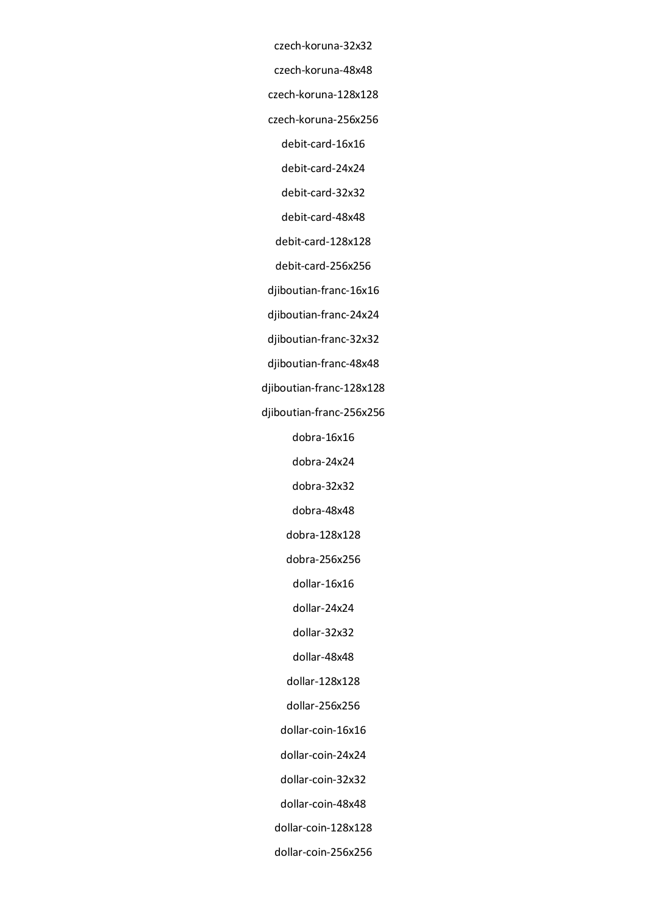czech-koruna-32x32 czech-koruna-48x48

czech-koruna-128x128

czech-koruna-256x256

debit-card-16x16

debit-card-24x24

debit-card-32x32

debit-card-48x48

debit-card-128x128

debit-card-256x256

djiboutian-franc-16x16

djiboutian-franc-24x24

djiboutian-franc-32x32

djiboutian-franc-48x48

djiboutian-franc-128x128

djiboutian-franc-256x256

dobra-16x16

dobra-24x24

dobra-32x32

dobra-48x48

dobra-128x128

dobra-256x256

dollar-16x16

dollar-24x24

dollar-32x32

dollar-48x48

dollar-128x128

dollar-256x256

dollar-coin-16x16

dollar-coin-24x24

dollar-coin-32x32

dollar-coin-48x48

dollar-coin-128x128

dollar-coin-256x256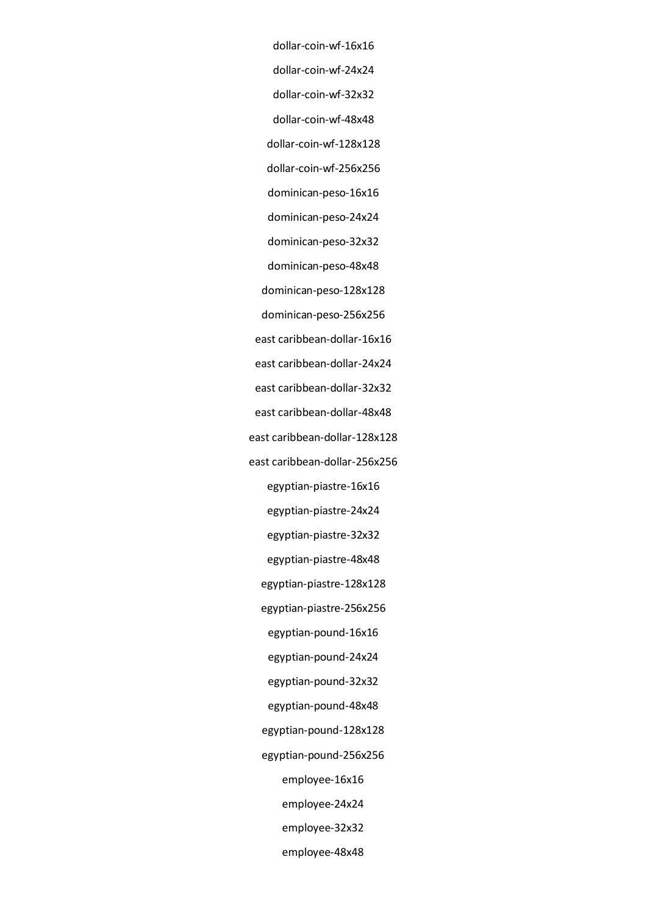dollar-coin-wf-16x16 dollar-coin-wf-24x24 dollar-coin-wf-32x32 dollar-coin-wf-48x48 dollar-coin-wf-128x128 dollar-coin-wf-256x256 dominican-peso-16x16 dominican-peso-24x24 dominican-peso-32x32 dominican-peso-48x48 dominican-peso-128x128 dominican-peso-256x256 east caribbean-dollar-16x16 east caribbean-dollar-24x24 east caribbean-dollar-32x32 east caribbean-dollar-48x48 east caribbean-dollar-128x128 east caribbean-dollar-256x256 egyptian-piastre-16x16 egyptian-piastre-24x24 egyptian-piastre-32x32 egyptian-piastre-48x48 egyptian-piastre-128x128 egyptian-piastre-256x256 egyptian-pound-16x16 egyptian-pound-24x24 egyptian-pound-32x32 egyptian-pound-48x48 egyptian-pound-128x128 egyptian-pound-256x256 employee-16x16 employee-24x24 employee-32x32 employee-48x48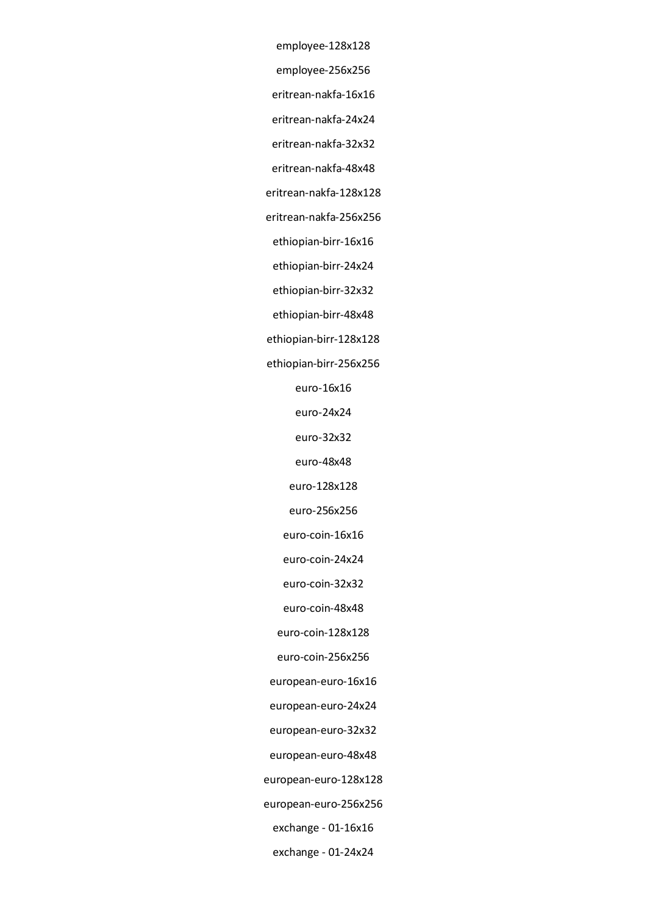employee-128x128 employee-256x256 eritrean-nakfa-16x16 eritrean-nakfa-24x24 eritrean-nakfa-32x32 eritrean-nakfa-48x48 eritrean-nakfa-128x128 eritrean-nakfa-256x256 ethiopian-birr-16x16 ethiopian-birr-24x24 ethiopian-birr-32x32 ethiopian-birr-48x48 ethiopian-birr-128x128 ethiopian-birr-256x256 euro-16x16 euro-24x24 euro-32x32 euro-48x48 euro-128x128 euro-256x256 euro-coin-16x16 euro-coin-24x24 euro-coin-32x32 euro-coin-48x48 euro-coin-128x128 euro-coin-256x256 european-euro-16x16 european-euro-24x24 european-euro-32x32 european-euro-48x48 european-euro-128x128 european-euro-256x256 exchange - 01-16x16

exchange - 01-24x24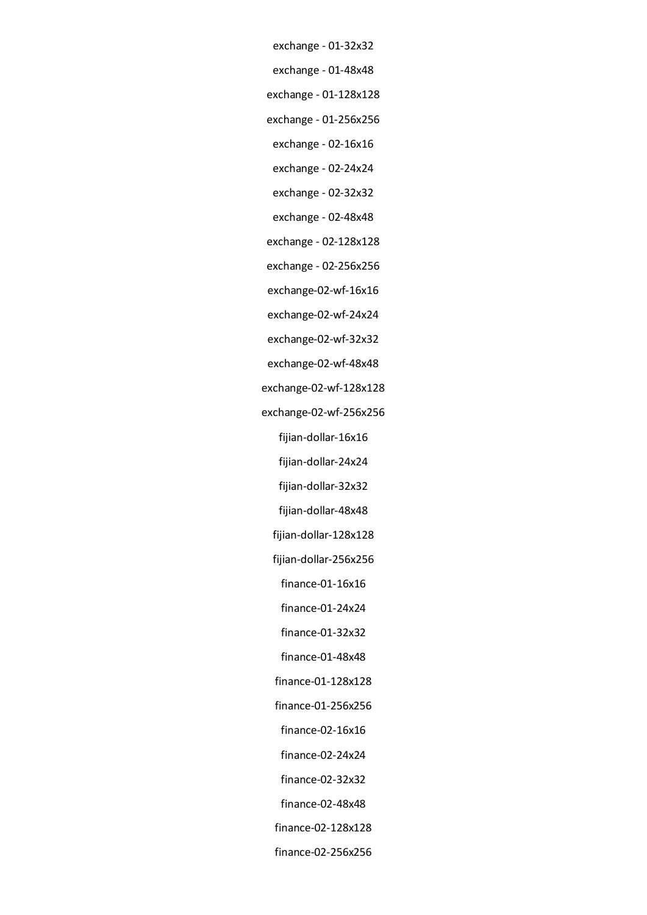- exchange 01-32x32
- exchange 01-48x48
- exchange 01-128x128
- exchange 01-256x256
- exchange 02-16x16
- exchange 02-24x24
- exchange 02-32x32
- exchange 02-48x48
- exchange 02-128x128
- exchange 02-256x256
- exchange-02-wf-16x16
- exchange-02-wf-24x24
- exchange-02-wf-32x32
- exchange-02-wf-48x48
- exchange-02-wf-128x128
- exchange-02-wf-256x256
	- fijian-dollar-16x16
	- fijian-dollar-24x24
		- fijian-dollar-32x32
	- fijian-dollar-48x48
	- fijian-dollar-128x128
	- fijian-dollar-256x256
		- finance-01-16x16
	- finance-01-24x24
	- finance-01-32x32
	- finance-01-48x48
	- finance-01-128x128
	- finance-01-256x256
	- finance-02-16x16
	- finance-02-24x24
	- finance-02-32x32
	- finance-02-48x48
	- finance-02-128x128
	- finance-02-256x256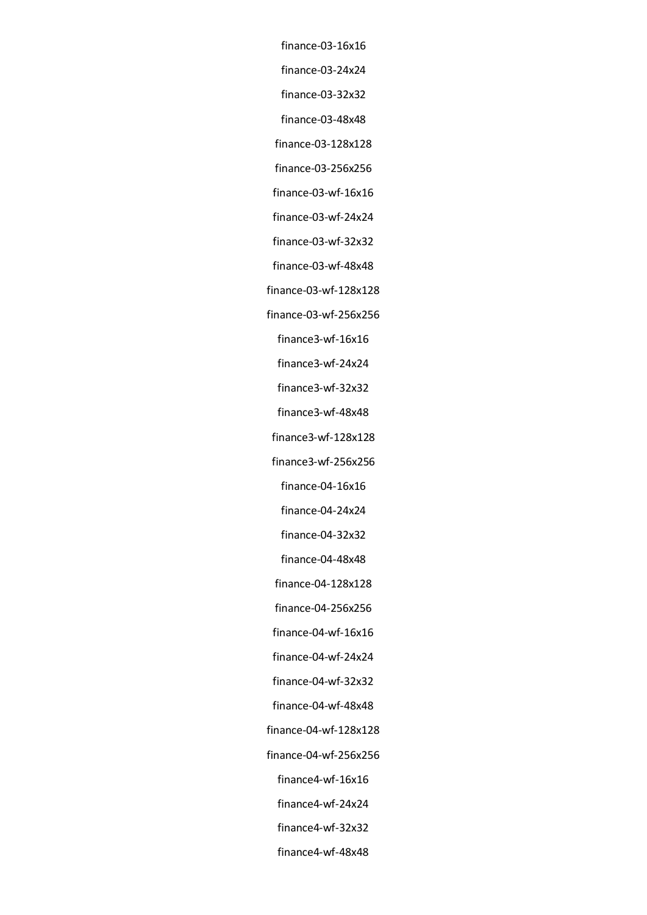finance-03-16x16 finance-03-24x24 finance-03-32x32 finance-03-48x48 finance-03-128x128 finance-03-256x256 finance-03-wf-16x16 finance-03-wf-24x24 finance-03-wf-32x32 finance-03-wf-48x48 finance-03-wf-128x128 finance-03-wf-256x256 finance3-wf-16x16 finance3-wf-24x24 finance3-wf-32x32 finance3-wf-48x48 finance3-wf-128x128 finance3-wf-256x256 finance-04-16x16 finance-04-24x24 finance-04-32x32 finance-04-48x48 finance-04-128x128 finance-04-256x256 finance-04-wf-16x16 finance-04-wf-24x24 finance-04-wf-32x32 finance-04-wf-48x48 finance-04-wf-128x128 finance-04-wf-256x256 finance4-wf-16x16 finance4-wf-24x24 finance4-wf-32x32 finance4-wf-48x48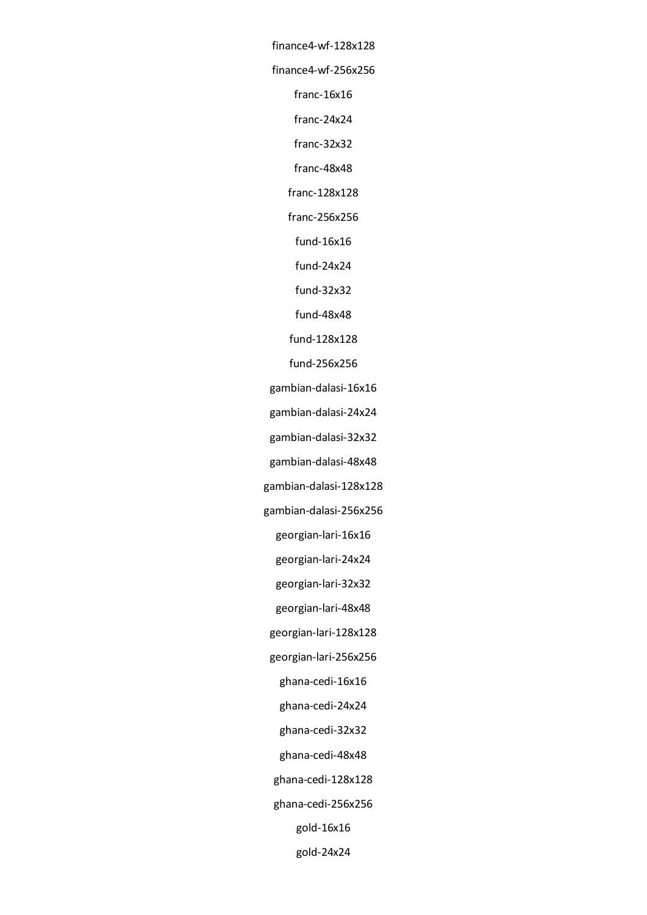finance4-wf-128x128 finance4-wf-256x256 franc-16x16 franc-24x24 franc-32x32 franc-48x48 franc-128x128 franc-256x256 fund-16x16 fund-24x24 fund-32x32 fund-48x48 fund-128x128 fund-256x256 gambian-dalasi-16x16 gambian-dalasi-24x24 gambian-dalasi-32x32 gambian-dalasi-48x48 gambian-dalasi-128x128 gambian-dalasi-256x256 georgian-lari-16x16 georgian-lari-24x24 georgian-lari-32x32 georgian-lari-48x48 georgian-lari-128x128 georgian-lari-256x256 ghana-cedi-16x16 ghana-cedi-24x24 ghana-cedi-32x32 ghana-cedi-48x48 ghana-cedi-128x128 ghana-cedi-256x256 gold-16x16 gold-24x24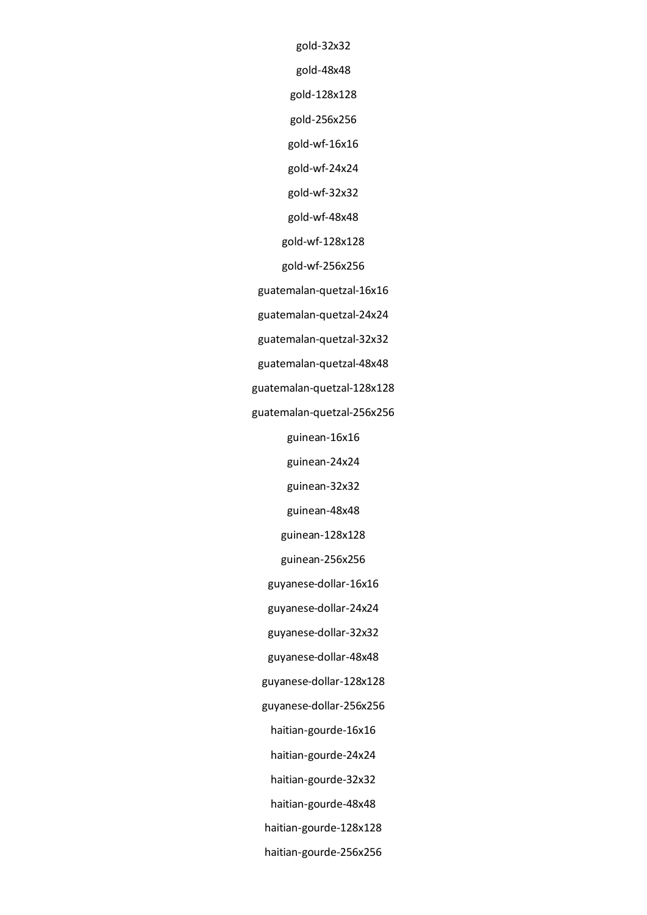gold-32x32

gold-48x48

gold-128x128

gold-256x256

gold-wf-16x16

gold-wf-24x24

gold-wf-32x32

gold-wf-48x48

gold-wf-128x128

gold-wf-256x256

guatemalan-quetzal-16x16

guatemalan-quetzal-24x24

guatemalan-quetzal-32x32

guatemalan-quetzal-48x48

guatemalan-quetzal-128x128

guatemalan-quetzal-256x256

guinean-16x16

guinean-24x24

guinean-32x32

guinean-48x48

guinean-128x128

guinean-256x256

guyanese-dollar-16x16

guyanese-dollar-24x24

guyanese-dollar-32x32

guyanese-dollar-48x48

guyanese-dollar-128x128

guyanese-dollar-256x256

haitian-gourde-16x16

haitian-gourde-24x24

haitian-gourde-32x32

haitian-gourde-48x48

haitian-gourde-128x128

haitian-gourde-256x256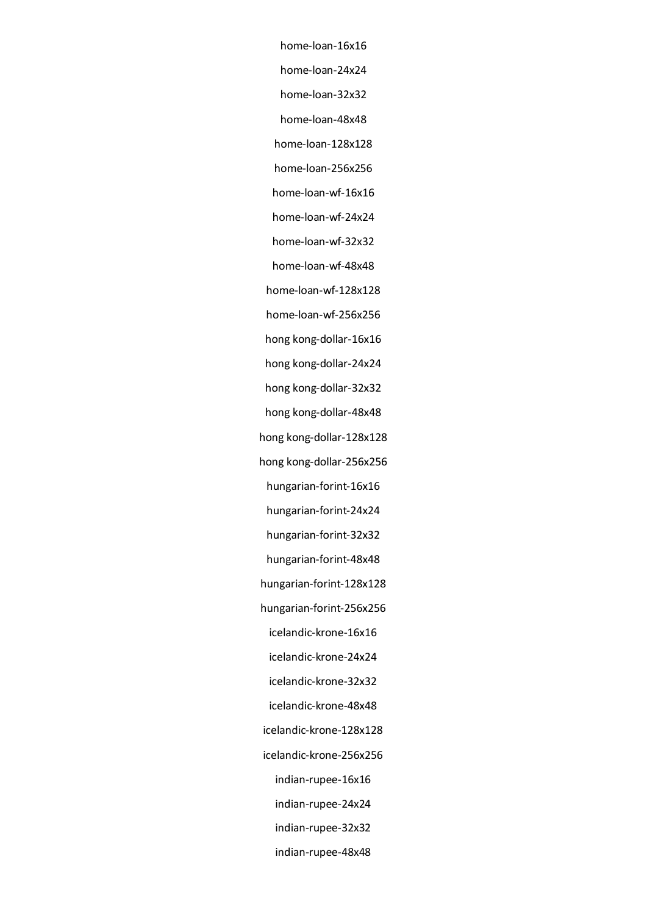home-loan-16x16 home-loan-24x24 home-loan-32x32 home-loan-48x48 home-loan-128x128 home-loan-256x256 home-loan-wf-16x16 home-loan-wf-24x24 home-loan-wf-32x32 home-loan-wf-48x48 home-loan-wf-128x128 home-loan-wf-256x256 hong kong-dollar-16x16 hong kong-dollar-24x24 hong kong-dollar-32x32 hong kong-dollar-48x48 hong kong-dollar-128x128 hong kong-dollar-256x256 hungarian-forint-16x16 hungarian-forint-24x24 hungarian-forint-32x32 hungarian-forint-48x48 hungarian-forint-128x128 hungarian-forint-256x256 icelandic-krone-16x16 icelandic-krone-24x24 icelandic-krone-32x32 icelandic-krone-48x48 icelandic-krone-128x128 icelandic-krone-256x256 indian-rupee-16x16 indian-rupee-24x24 indian-rupee-32x32 indian-rupee-48x48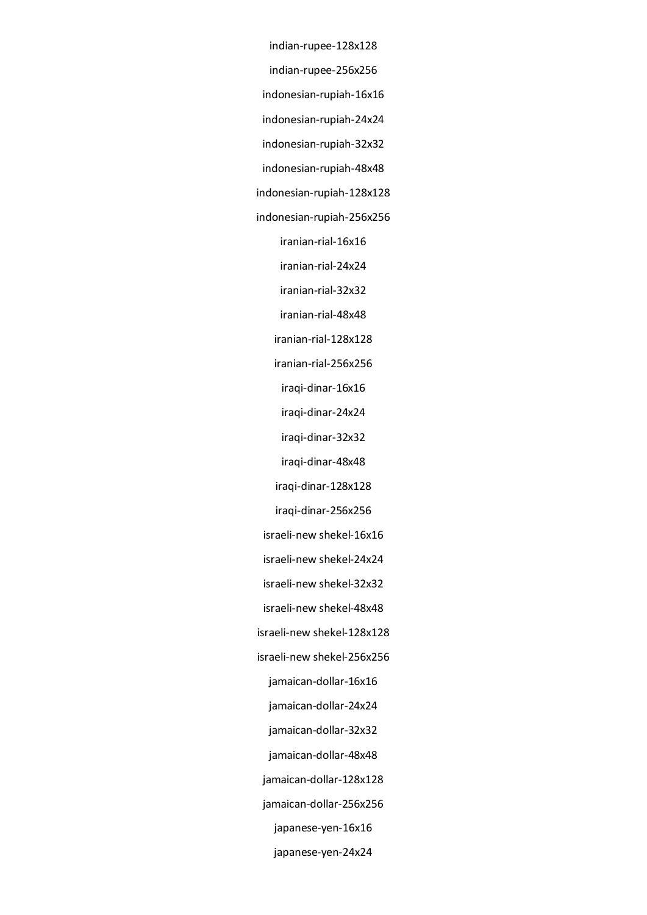indian-rupee-128x128

indian-rupee-256x256

indonesian-rupiah-16x16

indonesian-rupiah-24x24

indonesian-rupiah-32x32

indonesian-rupiah-48x48

indonesian-rupiah-128x128

indonesian-rupiah-256x256

iranian-rial-16x16

iranian-rial-24x24

iranian-rial-32x32

iranian-rial-48x48

iranian-rial-128x128

iranian-rial-256x256

iraqi-dinar-16x16

iraqi-dinar-24x24

iraqi-dinar-32x32

iraqi-dinar-48x48

iraqi-dinar-128x128

iraqi-dinar-256x256

israeli-new shekel-16x16

israeli-new shekel-24x24

israeli-new shekel-32x32

israeli-new shekel-48x48

israeli-new shekel-128x128

israeli-new shekel-256x256

jamaican-dollar-16x16

jamaican-dollar-24x24

jamaican-dollar-32x32

jamaican-dollar-48x48

jamaican-dollar-128x128

jamaican-dollar-256x256

japanese-yen-16x16

japanese-yen-24x24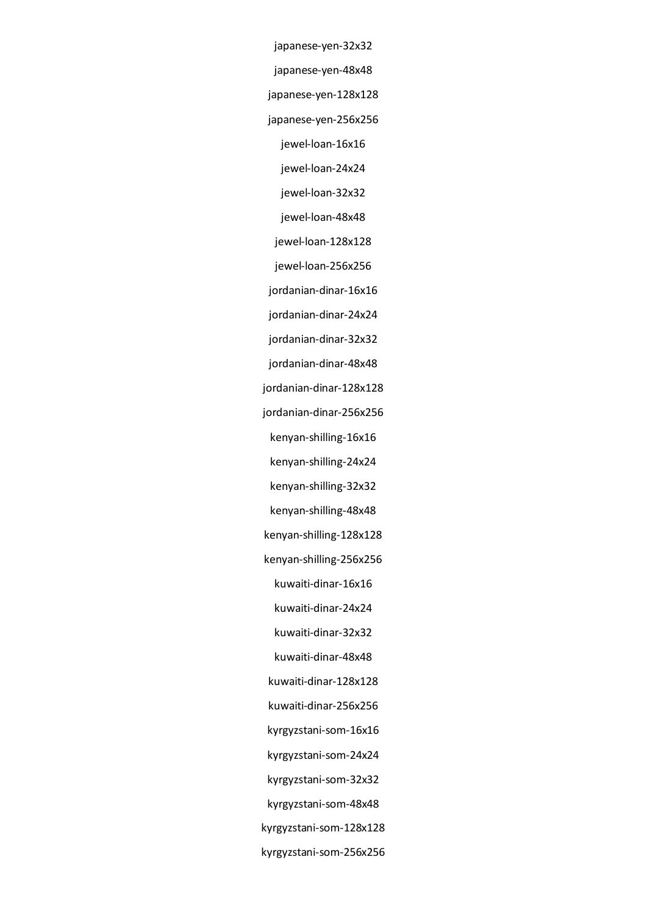japanese-yen-32x32 japanese-yen-48x48 japanese-yen-128x128 japanese-yen-256x256 jewel-loan-16x16 jewel-loan-24x24 jewel-loan-32x32 jewel-loan-48x48 jewel-loan-128x128 jewel-loan-256x256 jordanian-dinar-16x16 jordanian-dinar-24x24 jordanian-dinar-32x32 jordanian-dinar-48x48 jordanian-dinar-128x128 jordanian-dinar-256x256 kenyan-shilling-16x16 kenyan-shilling-24x24 kenyan-shilling-32x32 kenyan-shilling-48x48 kenyan-shilling-128x128 kenyan-shilling-256x256 kuwaiti-dinar-16x16 kuwaiti-dinar-24x24 kuwaiti-dinar-32x32 kuwaiti-dinar-48x48 kuwaiti-dinar-128x128 kuwaiti-dinar-256x256 kyrgyzstani-som-16x16 kyrgyzstani-som-24x24 kyrgyzstani-som-32x32 kyrgyzstani-som-48x48 kyrgyzstani-som-128x128 kyrgyzstani-som-256x256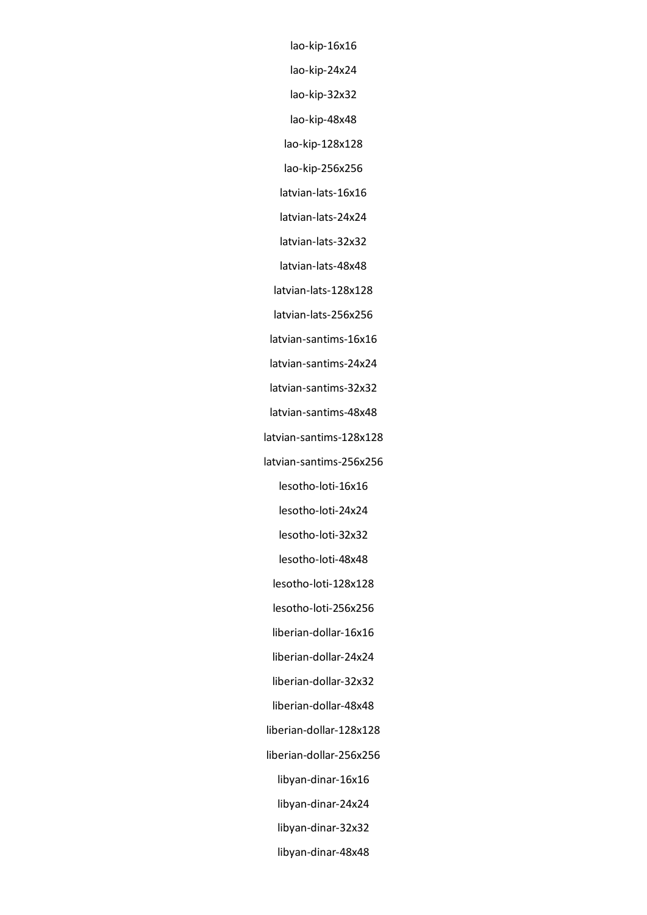lao-kip-16x16 lao-kip-24x24 lao-kip-32x32 lao-kip-48x48 lao-kip-128x128 lao-kip-256x256 latvian-lats-16x16 latvian-lats-24x24 latvian-lats-32x32 latvian-lats-48x48 latvian-lats-128x128 latvian-lats-256x256 latvian-santims-16x16 latvian-santims-24x24 latvian-santims-32x32 latvian-santims-48x48 latvian-santims-128x128 latvian-santims-256x256 lesotho-loti-16x16 lesotho-loti-24x24 lesotho-loti-32x32 lesotho-loti-48x48 lesotho-loti-128x128 lesotho-loti-256x256 liberian-dollar-16x16 liberian-dollar-24x24 liberian-dollar-32x32 liberian-dollar-48x48 liberian-dollar-128x128 liberian-dollar-256x256 libyan-dinar-16x16 libyan-dinar-24x24 libyan-dinar-32x32 libyan-dinar-48x48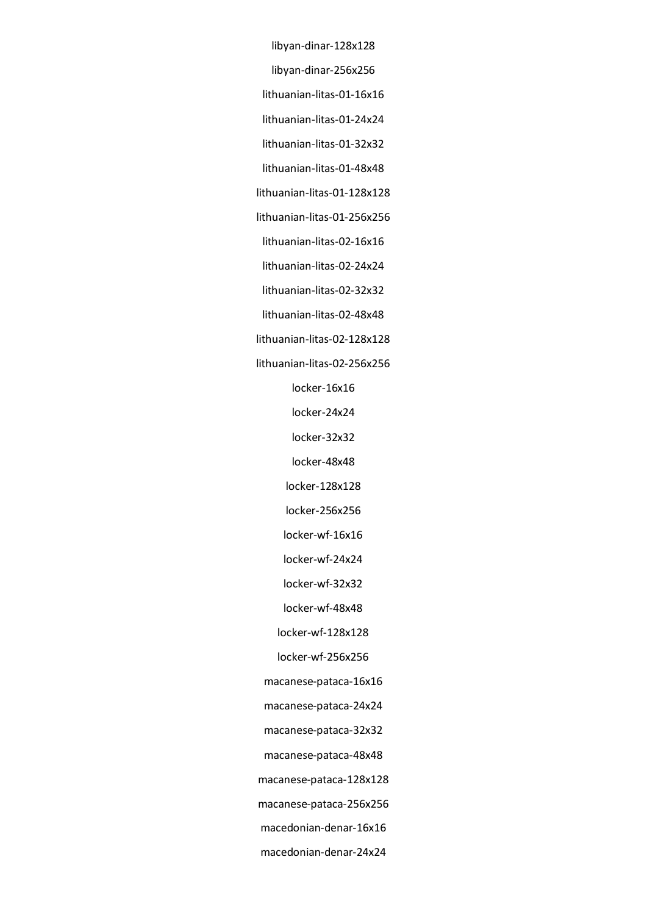libyan-dinar-128x128

libyan-dinar-256x256

lithuanian-litas-01-16x16

lithuanian-litas-01-24x24

lithuanian-litas-01-32x32

lithuanian-litas-01-48x48

lithuanian-litas-01-128x128

lithuanian-litas-01-256x256

lithuanian-litas-02-16x16

lithuanian-litas-02-24x24

lithuanian-litas-02-32x32

lithuanian-litas-02-48x48

lithuanian-litas-02-128x128

lithuanian-litas-02-256x256

locker-16x16

locker-24x24

locker-32x32

locker-48x48

locker-128x128

locker-256x256

locker-wf-16x16

locker-wf-24x24

locker-wf-32x32

locker-wf-48x48

locker-wf-128x128

locker-wf-256x256

macanese-pataca-16x16

macanese-pataca-24x24

macanese-pataca-32x32

macanese-pataca-48x48

macanese-pataca-128x128

macanese-pataca-256x256

macedonian-denar-16x16

macedonian-denar-24x24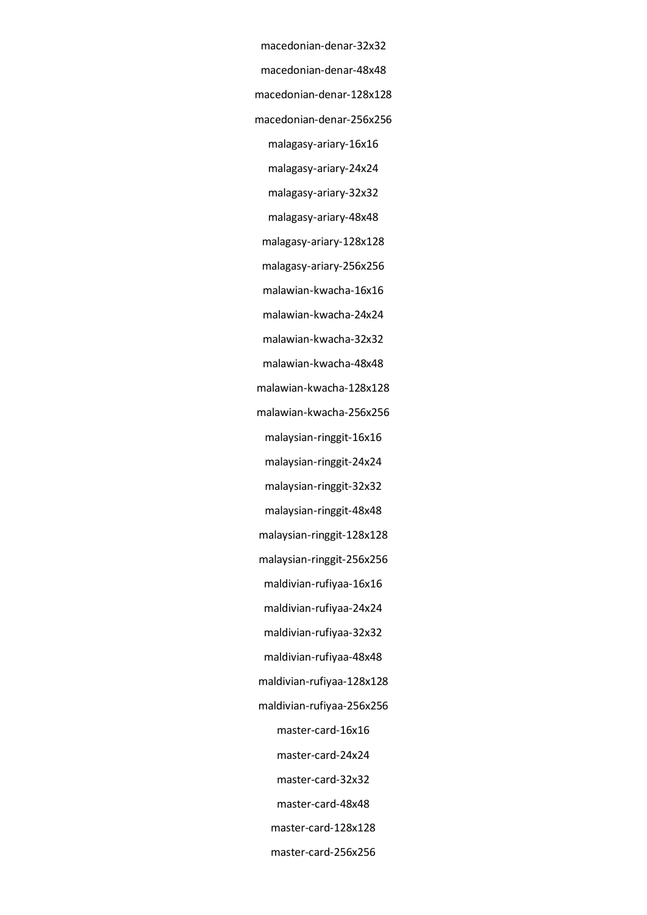macedonian-denar-32x32 macedonian-denar-48x48 macedonian-denar-128x128 macedonian-denar-256x256 malagasy-ariary-16x16 malagasy-ariary-24x24 malagasy-ariary-32x32 malagasy-ariary-48x48 malagasy-ariary-128x128 malagasy-ariary-256x256 malawian-kwacha-16x16 malawian-kwacha-24x24 malawian-kwacha-32x32 malawian-kwacha-48x48 malawian-kwacha-128x128 malawian-kwacha-256x256 malaysian-ringgit-16x16 malaysian-ringgit-24x24 malaysian-ringgit-32x32 malaysian-ringgit-48x48 malaysian-ringgit-128x128 malaysian-ringgit-256x256 maldivian-rufiyaa-16x16 maldivian-rufiyaa-24x24 maldivian-rufiyaa-32x32 maldivian-rufiyaa-48x48 maldivian-rufiyaa-128x128 maldivian-rufiyaa-256x256 master-card-16x16 master-card-24x24 master-card-32x32 master-card-48x48 master-card-128x128

master-card-256x256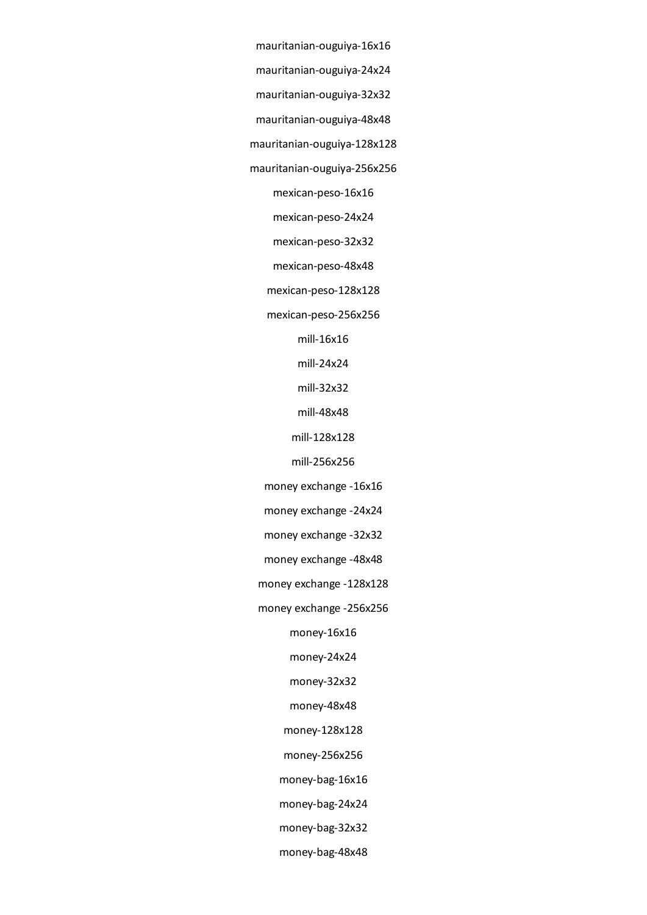- mauritanian-ouguiya-16x16 mauritanian-ouguiya-24x24
- mauritanian-ouguiya-32x32
- mauritanian-ouguiya-48x48
- mauritanian-ouguiya-128x128
- mauritanian-ouguiya-256x256
	- mexican-peso-16x16
	- mexican-peso-24x24
	- mexican-peso-32x32
	- mexican-peso-48x48
	- mexican-peso-128x128
	- mexican-peso-256x256
		- mill-16x16
		- mill-24x24
		- mill-32x32
		- mill-48x48
		- mill-128x128
		- mill-256x256
	- money exchange -16x16
	- money exchange -24x24
	- money exchange -32x32
	- money exchange -48x48
	- money exchange -128x128
	- money exchange -256x256
		- money-16x16
		- money-24x24
		- money-32x32
		- money-48x48
		- money-128x128
		- money-256x256
		- money-bag-16x16
		- money-bag-24x24
		- money-bag-32x32
		- money-bag-48x48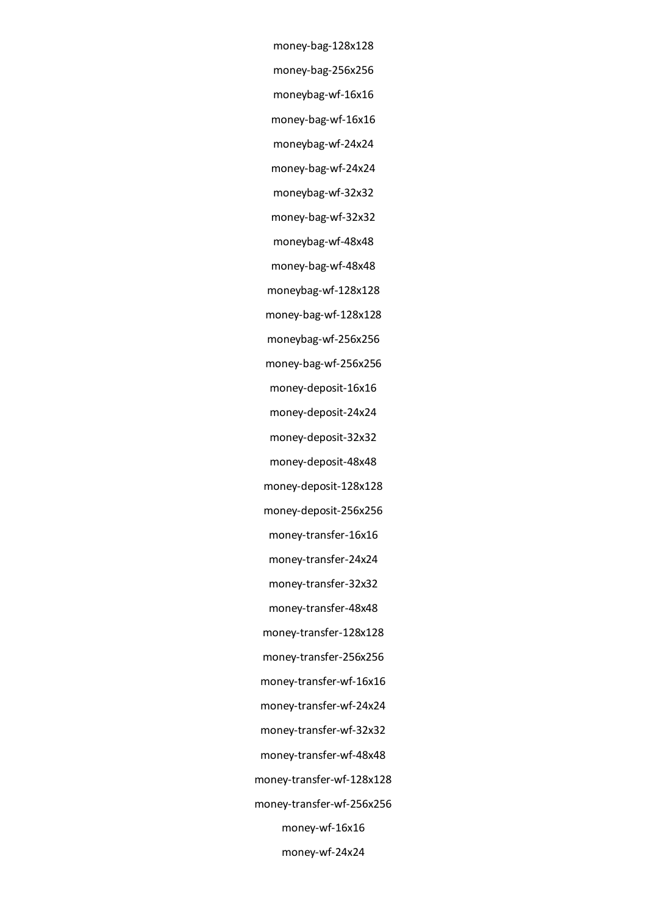money-bag-128x128 money-bag-256x256 moneybag-wf-16x16 money-bag-wf-16x16 moneybag-wf-24x24 money-bag-wf-24x24 moneybag-wf-32x32 money-bag-wf-32x32 moneybag-wf-48x48 money-bag-wf-48x48 moneybag-wf-128x128 money-bag-wf-128x128 moneybag-wf-256x256 money-bag-wf-256x256 money-deposit-16x16 money-deposit-24x24 money-deposit-32x32 money-deposit-48x48 money-deposit-128x128 money-deposit-256x256 money-transfer-16x16 money-transfer-24x24 money-transfer-32x32 money-transfer-48x48 money-transfer-128x128 money-transfer-256x256 money-transfer-wf-16x16 money-transfer-wf-24x24 money-transfer-wf-32x32 money-transfer-wf-48x48 money-transfer-wf-128x128 money-transfer-wf-256x256 money-wf-16x16 money-wf-24x24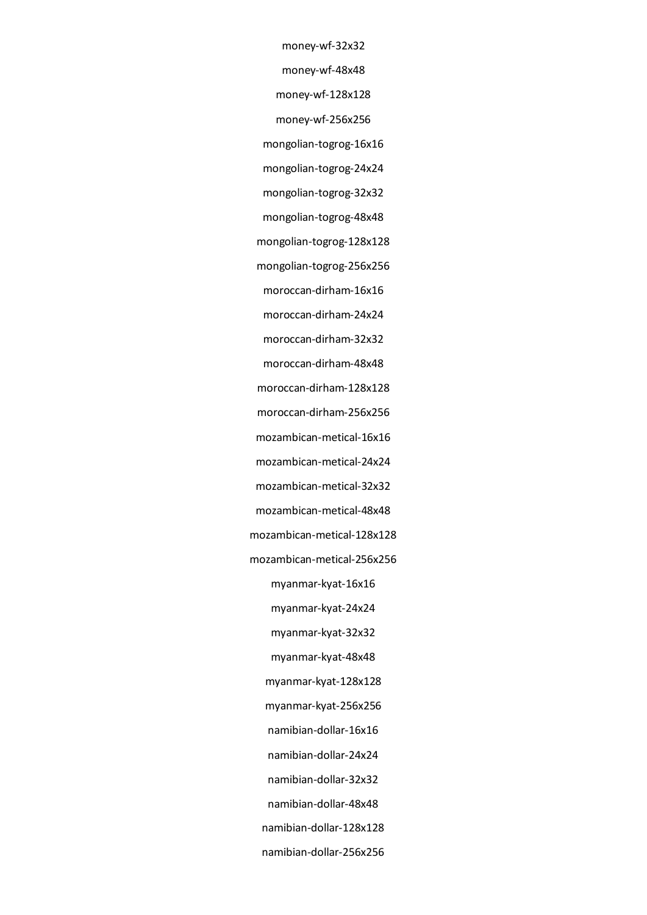money-wf-32x32

money-wf-48x48

money-wf-128x128

money-wf-256x256

mongolian-togrog-16x16

mongolian-togrog-24x24

mongolian-togrog-32x32

mongolian-togrog-48x48

mongolian-togrog-128x128

mongolian-togrog-256x256

moroccan-dirham-16x16

moroccan-dirham-24x24

moroccan-dirham-32x32

moroccan-dirham-48x48

moroccan-dirham-128x128

moroccan-dirham-256x256

mozambican-metical-16x16

mozambican-metical-24x24

mozambican-metical-32x32

mozambican-metical-48x48

mozambican-metical-128x128

mozambican-metical-256x256

myanmar-kyat-16x16

myanmar-kyat-24x24

myanmar-kyat-32x32

myanmar-kyat-48x48

myanmar-kyat-128x128

myanmar-kyat-256x256

namibian-dollar-16x16

namibian-dollar-24x24

namibian-dollar-32x32

namibian-dollar-48x48

namibian-dollar-128x128

namibian-dollar-256x256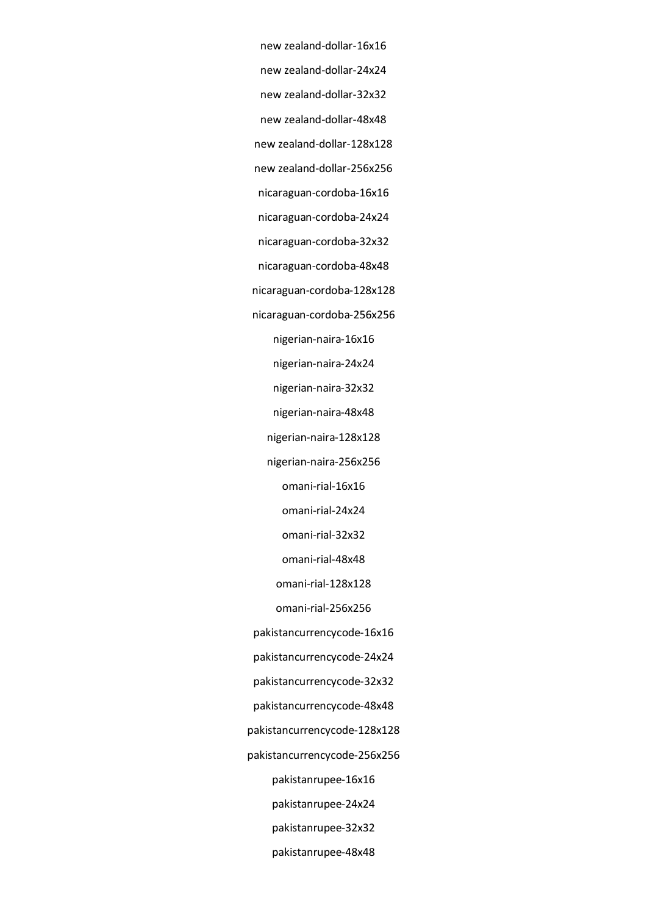new zealand-dollar-16x16 new zealand-dollar-24x24 new zealand-dollar-32x32 new zealand-dollar-48x48 new zealand-dollar-128x128 new zealand-dollar-256x256 nicaraguan-cordoba-16x16 nicaraguan-cordoba-24x24 nicaraguan-cordoba-32x32 nicaraguan-cordoba-48x48 nicaraguan-cordoba-128x128 nicaraguan-cordoba-256x256 nigerian-naira-16x16 nigerian-naira-24x24 nigerian-naira-32x32 nigerian-naira-48x48 nigerian-naira-128x128 nigerian-naira-256x256 omani-rial-16x16 omani-rial-24x24 omani-rial-32x32 omani-rial-48x48 omani-rial-128x128 omani-rial-256x256 pakistancurrencycode-16x16 pakistancurrencycode-24x24 pakistancurrencycode-32x32 pakistancurrencycode-48x48 pakistancurrencycode-128x128 pakistancurrencycode-256x256 pakistanrupee-16x16 pakistanrupee-24x24 pakistanrupee-32x32

pakistanrupee-48x48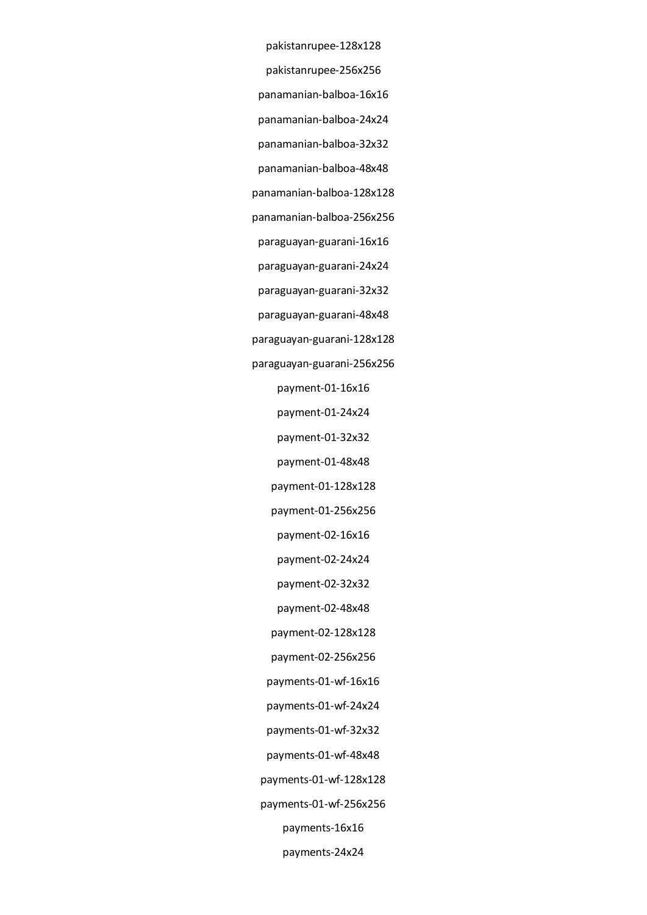pakistanrupee-128x128 pakistanrupee-256x256 panamanian-balboa-16x16 panamanian-balboa-24x24 panamanian-balboa-32x32 panamanian-balboa-48x48 panamanian-balboa-128x128 panamanian-balboa-256x256 paraguayan-guarani-16x16 paraguayan-guarani-24x24 paraguayan-guarani-32x32 paraguayan-guarani-48x48 paraguayan-guarani-128x128 paraguayan-guarani-256x256 payment-01-16x16 payment-01-24x24 payment-01-32x32 payment-01-48x48 payment-01-128x128 payment-01-256x256 payment-02-16x16 payment-02-24x24 payment-02-32x32 payment-02-48x48 payment-02-128x128 payment-02-256x256 payments-01-wf-16x16 payments-01-wf-24x24 payments-01-wf-32x32 payments-01-wf-48x48 payments-01-wf-128x128 payments-01-wf-256x256 payments-16x16 payments-24x24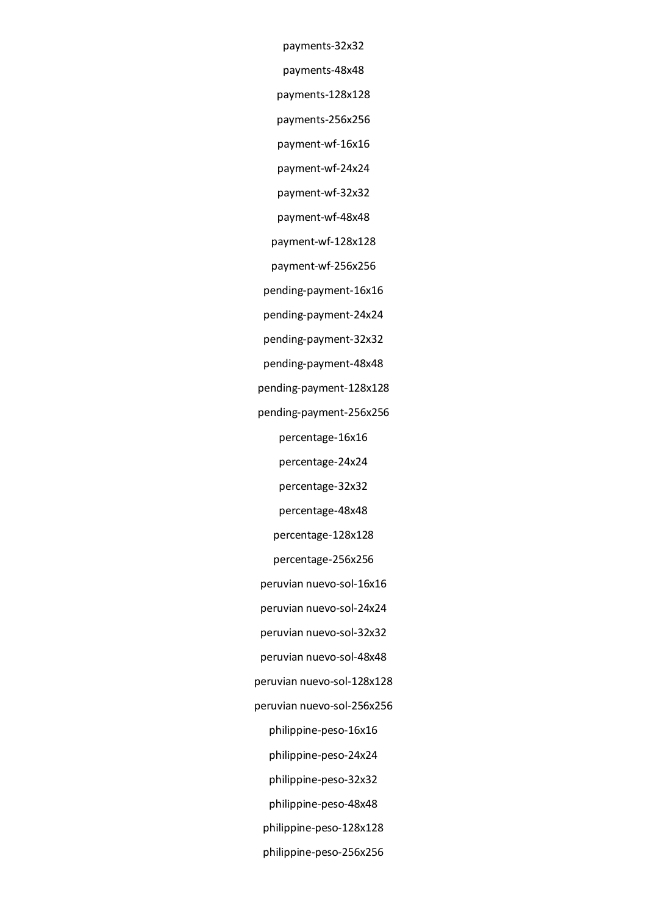payments-32x32

payments-48x48

payments-128x128

payments-256x256

payment-wf-16x16

payment-wf-24x24

payment-wf-32x32

payment-wf-48x48

payment-wf-128x128

payment-wf-256x256

pending-payment-16x16

pending-payment-24x24

pending-payment-32x32

pending-payment-48x48

pending-payment-128x128

pending-payment-256x256

percentage-16x16

percentage-24x24

percentage-32x32

percentage-48x48

percentage-128x128

percentage-256x256

peruvian nuevo-sol-16x16

peruvian nuevo-sol-24x24

peruvian nuevo-sol-32x32

peruvian nuevo-sol-48x48

peruvian nuevo-sol-128x128

peruvian nuevo-sol-256x256

philippine-peso-16x16

philippine-peso-24x24

philippine-peso-32x32

philippine-peso-48x48

philippine-peso-128x128

philippine-peso-256x256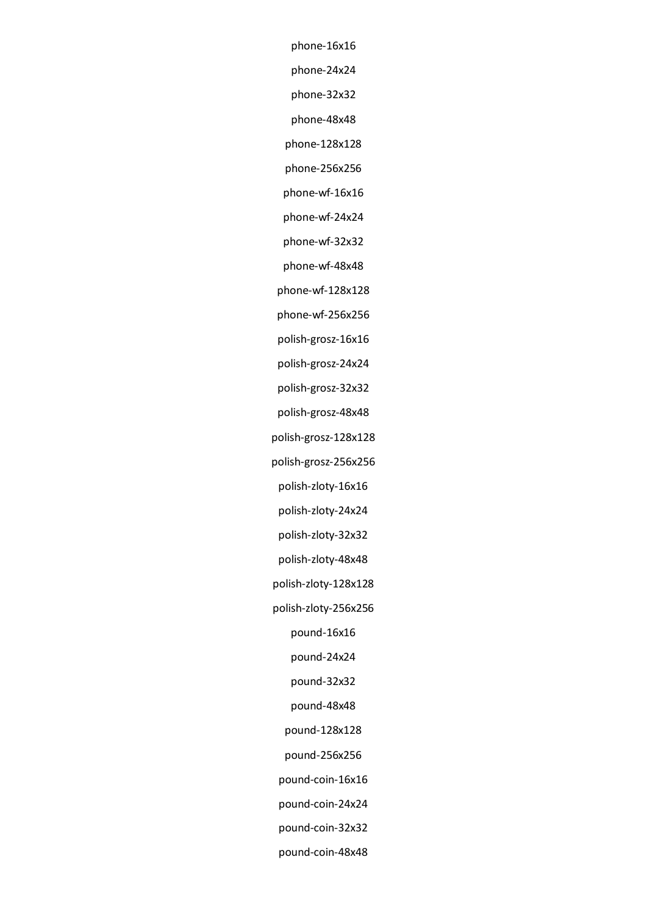phone-16x16 phone-24x24 phone-32x32 phone-48x48 phone-128x128 phone-256x256 phone-wf-16x16 phone-wf-24x24 phone-wf-32x32 phone-wf-48x48 phone-wf-128x128 phone-wf-256x256 polish-grosz-16x16 polish-grosz-24x24 polish-grosz-32x32 polish-grosz-48x48 polish-grosz-128x128 polish-grosz-256x256 polish-zloty-16x16 polish-zloty-24x24 polish-zloty-32x32 polish-zloty-48x48 polish-zloty-128x128 polish-zloty-256x256 pound-16x16 pound-24x24 pound-32x32 pound-48x48 pound-128x128 pound-256x256 pound-coin-16x16 pound-coin-24x24 pound-coin-32x32 pound-coin-48x48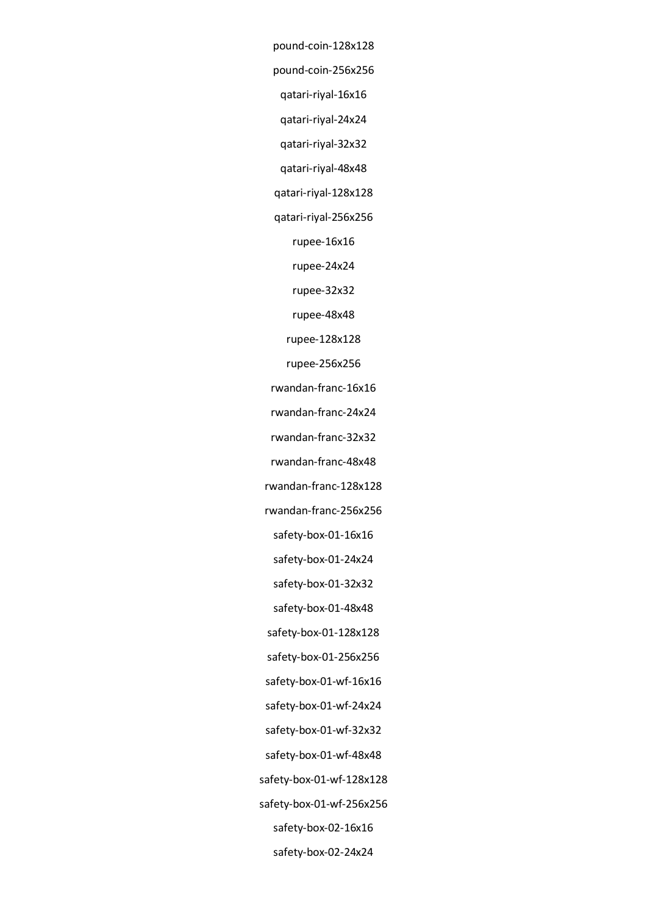pound-coin-128x128 pound-coin-256x256 qatari-riyal-16x16 qatari-riyal-24x24 qatari-riyal-32x32 qatari-riyal-48x48 qatari-riyal-128x128 qatari-riyal-256x256 rupee-16x16 rupee-24x24 rupee-32x32 rupee-48x48 rupee-128x128 rupee-256x256 rwandan-franc-16x16 rwandan-franc-24x24 rwandan-franc-32x32 rwandan-franc-48x48 rwandan-franc-128x128 rwandan-franc-256x256 safety-box-01-16x16 safety-box-01-24x24 safety-box-01-32x32 safety-box-01-48x48 safety-box-01-128x128 safety-box-01-256x256 safety-box-01-wf-16x16 safety-box-01-wf-24x24 safety-box-01-wf-32x32 safety-box-01-wf-48x48 safety-box-01-wf-128x128 safety-box-01-wf-256x256 safety-box-02-16x16 safety-box-02-24x24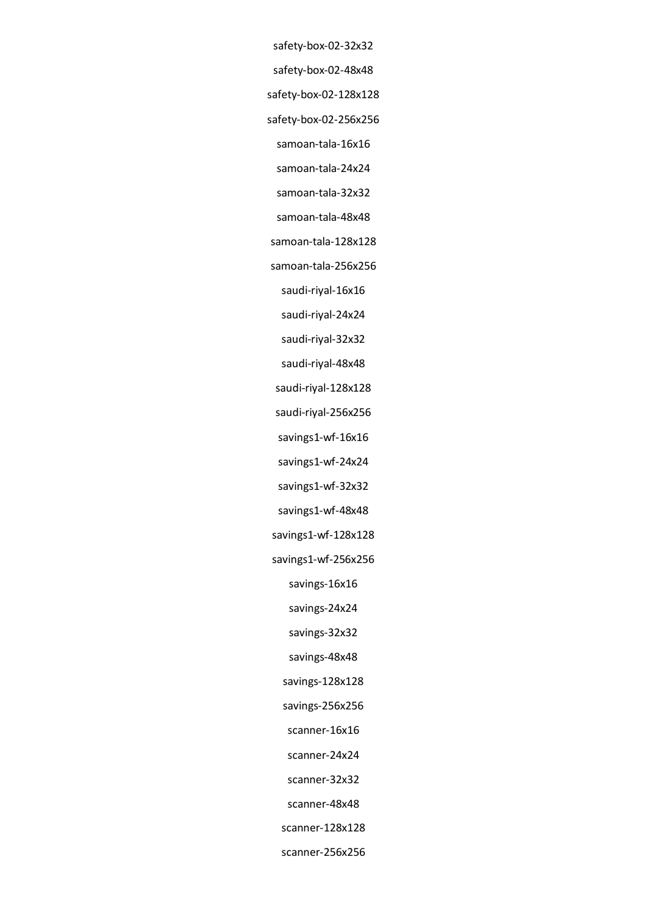- safety-box-02-32x32
- safety-box-02-48x48
- safety-box-02-128x128
- safety-box-02-256x256
- samoan-tala-16x16
- samoan-tala-24x24
- samoan-tala-32x32
- samoan-tala-48x48
- samoan-tala-128x128
- samoan-tala-256x256
	- saudi-riyal-16x16
	- saudi-riyal-24x24
	- saudi-riyal-32x32
	- saudi-riyal-48x48
- saudi-riyal-128x128
- saudi-riyal-256x256
- savings1-wf-16x16
- savings1-wf-24x24
- savings1-wf-32x32
- savings1-wf-48x48
- savings1-wf-128x128
- savings1-wf-256x256
	- savings-16x16
	- savings-24x24
	- savings-32x32
	- savings-48x48
	- savings-128x128
	- savings-256x256
	- scanner-16x16
	- scanner-24x24
	- scanner-32x32
	- scanner-48x48
	- scanner-128x128
	- scanner-256x256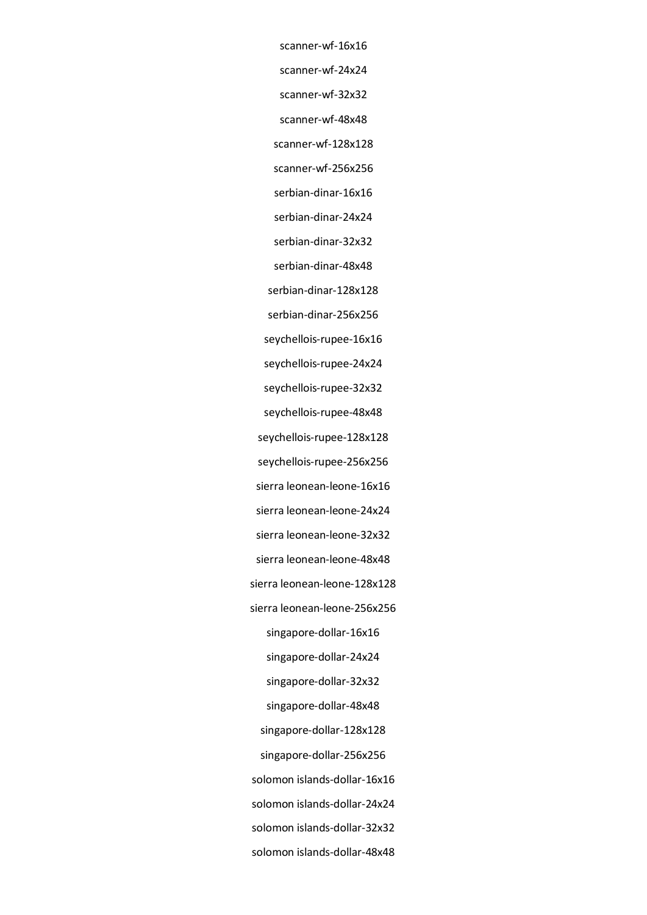scanner-wf-16x16 scanner-wf-24x24 scanner-wf-32x32 scanner-wf-48x48 scanner-wf-128x128 scanner-wf-256x256 serbian-dinar-16x16 serbian-dinar-24x24 serbian-dinar-32x32 serbian-dinar-48x48 serbian-dinar-128x128 serbian-dinar-256x256 seychellois-rupee-16x16 seychellois-rupee-24x24 seychellois-rupee-32x32 seychellois-rupee-48x48 seychellois-rupee-128x128 seychellois-rupee-256x256 sierra leonean-leone-16x16 sierra leonean-leone-24x24 sierra leonean-leone-32x32 sierra leonean-leone-48x48 sierra leonean-leone-128x128 sierra leonean-leone-256x256 singapore-dollar-16x16 singapore-dollar-24x24 singapore-dollar-32x32 singapore-dollar-48x48 singapore-dollar-128x128 singapore-dollar-256x256 solomon islands-dollar-16x16 solomon islands-dollar-24x24 solomon islands-dollar-32x32 solomon islands-dollar-48x48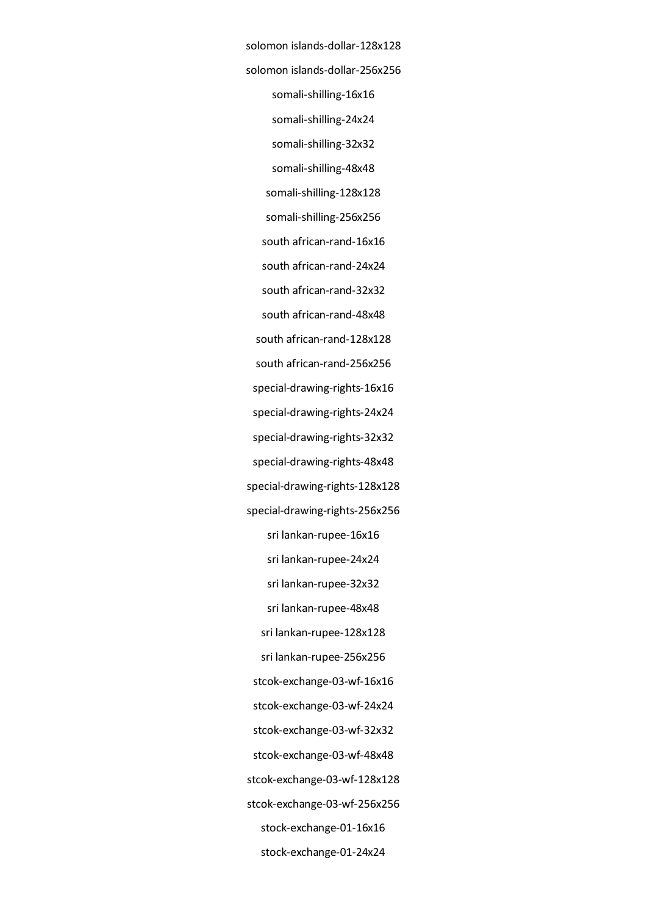solomon islands-dollar-128x128 solomon islands-dollar-256x256 somali-shilling-16x16 somali-shilling-24x24 somali-shilling-32x32 somali-shilling-48x48 somali-shilling-128x128 somali-shilling-256x256 south african-rand-16x16 south african-rand-24x24 south african-rand-32x32 south african-rand-48x48 south african-rand-128x128 south african-rand-256x256 special-drawing-rights-16x16 special-drawing-rights-24x24 special-drawing-rights-32x32 special-drawing-rights-48x48 special-drawing-rights-128x128 special-drawing-rights-256x256 sri lankan-rupee-16x16 sri lankan-rupee-24x24 sri lankan-rupee-32x32 sri lankan-rupee-48x48 sri lankan-rupee-128x128 sri lankan-rupee-256x256 stcok-exchange-03-wf-16x16 stcok-exchange-03-wf-24x24 stcok-exchange-03-wf-32x32 stcok-exchange-03-wf-48x48 stcok-exchange-03-wf-128x128 stcok-exchange-03-wf-256x256 stock-exchange-01-16x16 stock-exchange-01-24x24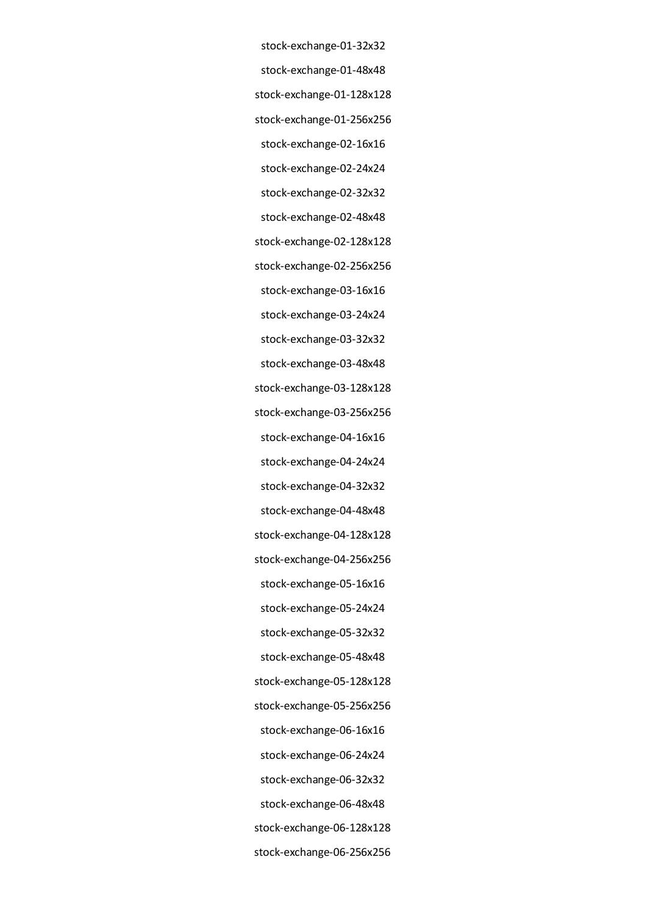stock-exchange-01-32x32 stock-exchange-01-48x48 stock-exchange-01-128x128 stock-exchange-01-256x256 stock-exchange-02-16x16 stock-exchange-02-24x24 stock-exchange-02-32x32 stock-exchange-02-48x48 stock-exchange-02-128x128 stock-exchange-02-256x256 stock-exchange-03-16x16 stock-exchange-03-24x24 stock-exchange-03-32x32 stock-exchange-03-48x48 stock-exchange-03-128x128 stock-exchange-03-256x256 stock-exchange-04-16x16 stock-exchange-04-24x24 stock-exchange-04-32x32 stock-exchange-04-48x48 stock-exchange-04-128x128 stock-exchange-04-256x256 stock-exchange-05-16x16 stock-exchange-05-24x24 stock-exchange-05-32x32 stock-exchange-05-48x48 stock-exchange-05-128x128 stock-exchange-05-256x256 stock-exchange-06-16x16 stock-exchange-06-24x24 stock-exchange-06-32x32 stock-exchange-06-48x48 stock-exchange-06-128x128 stock-exchange-06-256x256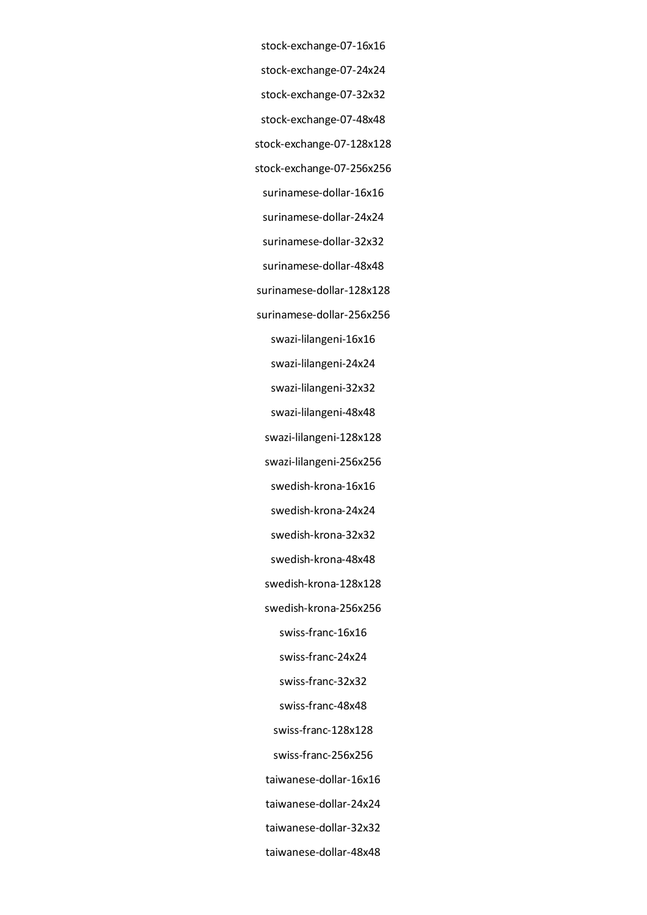- stock-exchange-07-16x16 stock-exchange-07-24x24
- stock-exchange-07-32x32
- stock-exchange-07-48x48
- stock-exchange-07-128x128
- stock-exchange-07-256x256
- surinamese-dollar-16x16
- surinamese-dollar-24x24
- surinamese-dollar-32x32
- surinamese-dollar-48x48
- surinamese-dollar-128x128
- surinamese-dollar-256x256
	- swazi-lilangeni-16x16
	- swazi-lilangeni-24x24
	- swazi-lilangeni-32x32
	- swazi-lilangeni-48x48
	- swazi-lilangeni-128x128
	- swazi-lilangeni-256x256
- swedish-krona-16x16
- swedish-krona-24x24
- swedish-krona-32x32
- swedish-krona-48x48
- swedish-krona-128x128
- swedish-krona-256x256
	- swiss-franc-16x16
	- swiss-franc-24x24
	- swiss-franc-32x32
	- swiss-franc-48x48
	- swiss-franc-128x128
- swiss-franc-256x256
- taiwanese-dollar-16x16
- taiwanese-dollar-24x24
- taiwanese-dollar-32x32
- taiwanese-dollar-48x48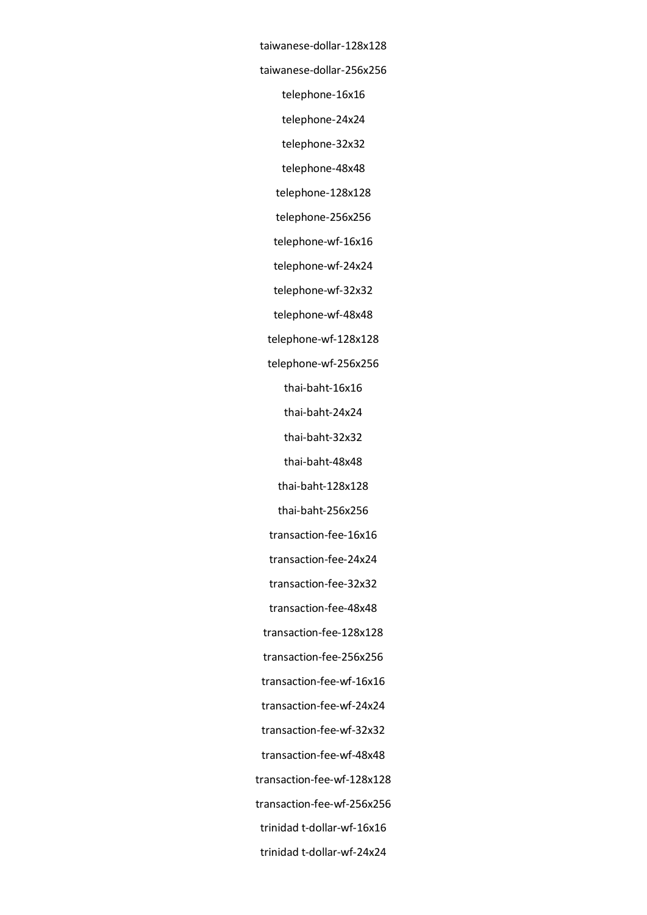taiwanese-dollar-128x128 taiwanese-dollar-256x256 telephone-16x16 telephone-24x24 telephone-32x32 telephone-48x48 telephone-128x128 telephone-256x256 telephone-wf-16x16 telephone-wf-24x24 telephone-wf-32x32 telephone-wf-48x48 telephone-wf-128x128 telephone-wf-256x256 thai-baht-16x16 thai-baht-24x24 thai-baht-32x32 thai-baht-48x48 thai-baht-128x128 thai-baht-256x256 transaction-fee-16x16 transaction-fee-24x24 transaction-fee-32x32 transaction-fee-48x48 transaction-fee-128x128 transaction-fee-256x256 transaction-fee-wf-16x16 transaction-fee-wf-24x24 transaction-fee-wf-32x32 transaction-fee-wf-48x48 transaction-fee-wf-128x128 transaction-fee-wf-256x256 trinidad t-dollar-wf-16x16 trinidad t-dollar-wf-24x24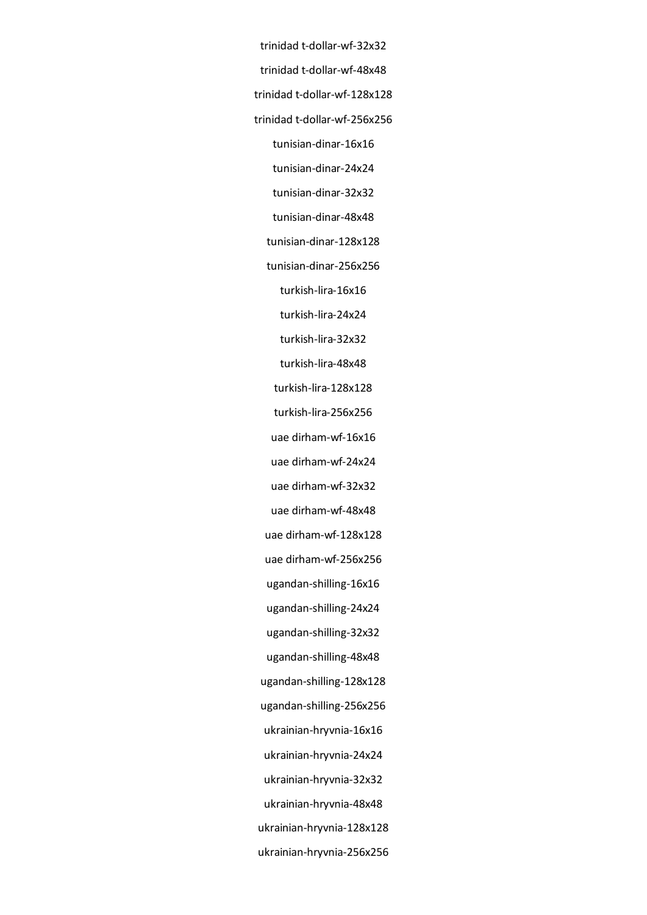trinidad t-dollar-wf-32x32 trinidad t-dollar-wf-48x48 trinidad t-dollar-wf-128x128 trinidad t-dollar-wf-256x256 tunisian-dinar-16x16 tunisian-dinar-24x24 tunisian-dinar-32x32 tunisian-dinar-48x48 tunisian-dinar-128x128 tunisian-dinar-256x256 turkish-lira-16x16 turkish-lira-24x24 turkish-lira-32x32 turkish-lira-48x48 turkish-lira-128x128 turkish-lira-256x256 uae dirham-wf-16x16 uae dirham-wf-24x24 uae dirham-wf-32x32 uae dirham-wf-48x48 uae dirham-wf-128x128 uae dirham-wf-256x256 ugandan-shilling-16x16 ugandan-shilling-24x24 ugandan-shilling-32x32 ugandan-shilling-48x48 ugandan-shilling-128x128 ugandan-shilling-256x256 ukrainian-hryvnia-16x16 ukrainian-hryvnia-24x24 ukrainian-hryvnia-32x32 ukrainian-hryvnia-48x48 ukrainian-hryvnia-128x128 ukrainian-hryvnia-256x256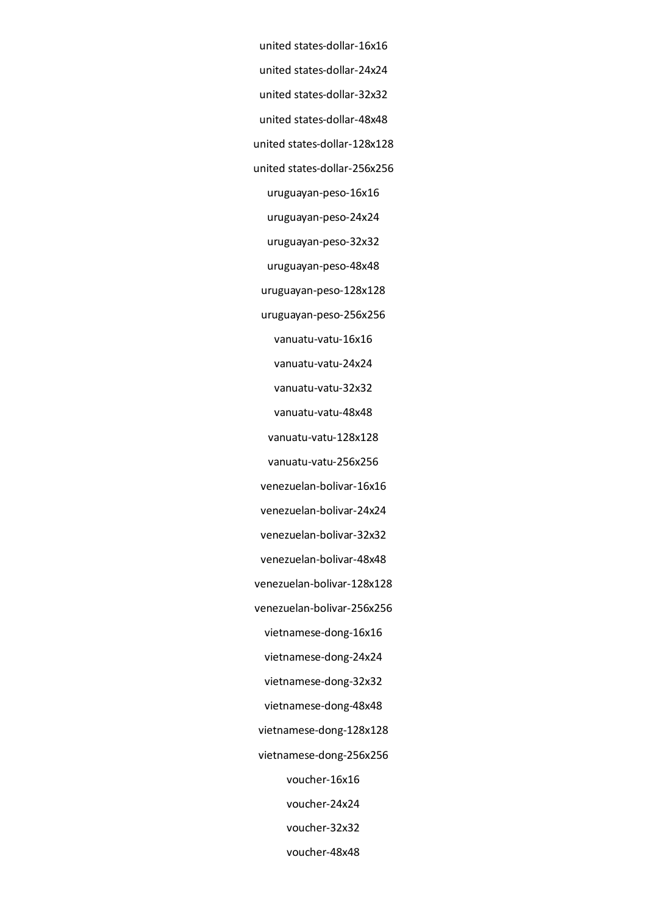united states-dollar-16x16 united states-dollar-24x24 united states-dollar-32x32 united states-dollar-48x48 united states-dollar-128x128 united states-dollar-256x256 uruguayan-peso-16x16 uruguayan-peso-24x24 uruguayan-peso-32x32 uruguayan-peso-48x48 uruguayan-peso-128x128 uruguayan-peso-256x256 vanuatu-vatu-16x16 vanuatu-vatu-24x24 vanuatu-vatu-32x32 vanuatu-vatu-48x48 vanuatu-vatu-128x128 vanuatu-vatu-256x256 venezuelan-bolivar-16x16 venezuelan-bolivar-24x24 venezuelan-bolivar-32x32 venezuelan-bolivar-48x48 venezuelan-bolivar-128x128 venezuelan-bolivar-256x256 vietnamese-dong-16x16 vietnamese-dong-24x24 vietnamese-dong-32x32 vietnamese-dong-48x48 vietnamese-dong-128x128 vietnamese-dong-256x256 voucher-16x16 voucher-24x24 voucher-32x32 voucher-48x48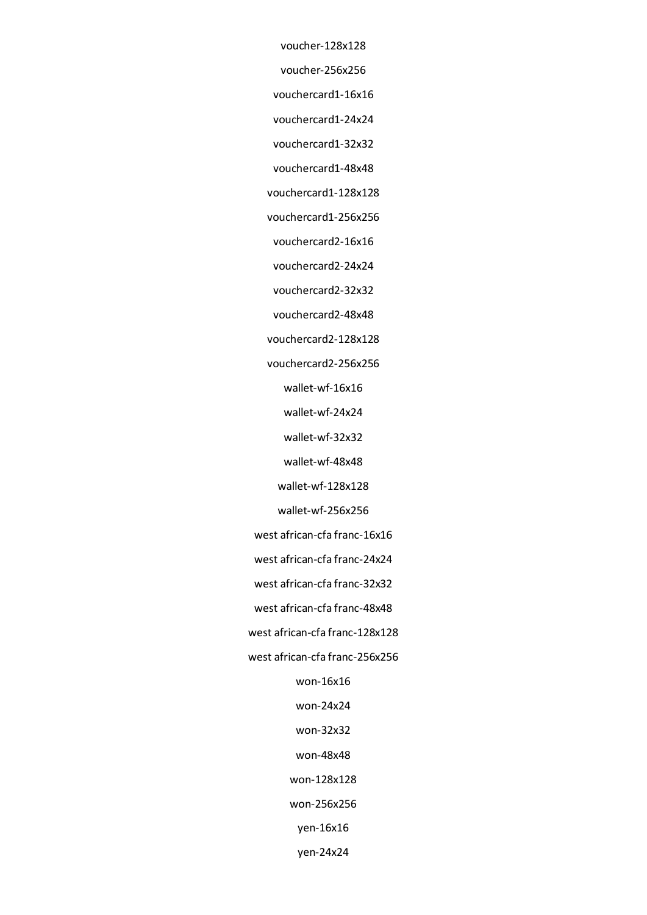voucher-128x128

voucher-256x256

vouchercard1-16x16

vouchercard1-24x24

vouchercard1-32x32

vouchercard1-48x48

vouchercard1-128x128

vouchercard1-256x256

vouchercard2-16x16

vouchercard2-24x24

vouchercard2-32x32

vouchercard2-48x48

vouchercard2-128x128

vouchercard2-256x256

wallet-wf-16x16

wallet-wf-24x24

wallet-wf-32x32

wallet-wf-48x48

wallet-wf-128x128

wallet-wf-256x256

west african-cfa franc-16x16

west african-cfa franc-24x24

west african-cfa franc-32x32

west african-cfa franc-48x48

west african-cfa franc-128x128

west african-cfa franc-256x256

won-16x16

won-24x24

won-32x32

won-48x48

won-128x128

won-256x256

yen-16x16

yen-24x24